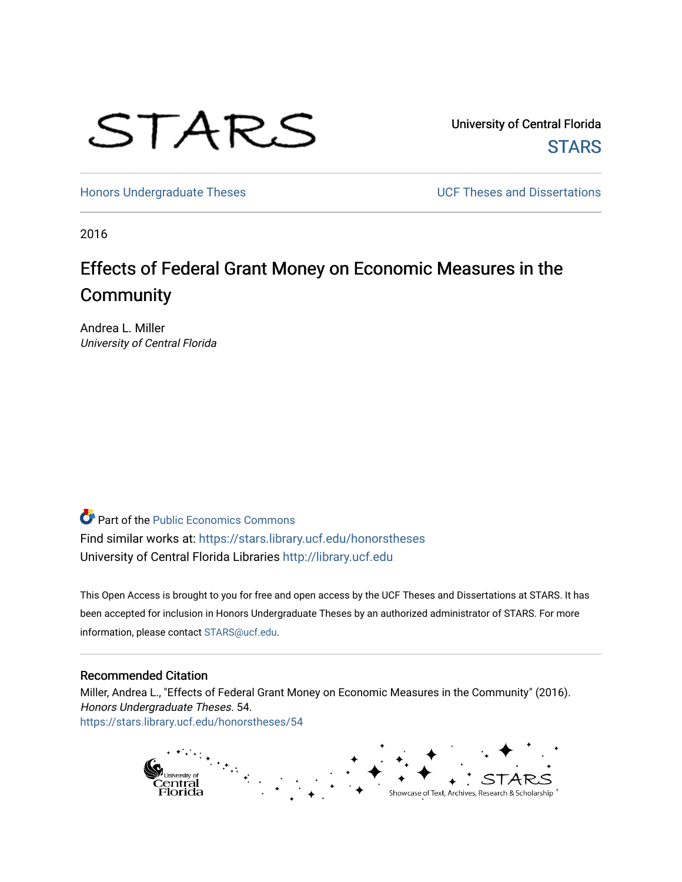

University of Central Florida **STARS** 

[Honors Undergraduate Theses](https://stars.library.ucf.edu/honorstheses) **Exercise 2 and Serverse** UCF Theses and Dissertations

2016

# Effects of Federal Grant Money on Economic Measures in the **Community**

Andrea L. Miller University of Central Florida

**Part of the [Public Economics Commons](http://network.bepress.com/hgg/discipline/351?utm_source=stars.library.ucf.edu%2Fhonorstheses%2F54&utm_medium=PDF&utm_campaign=PDFCoverPages)** Find similar works at: <https://stars.library.ucf.edu/honorstheses> University of Central Florida Libraries [http://library.ucf.edu](http://library.ucf.edu/) 

This Open Access is brought to you for free and open access by the UCF Theses and Dissertations at STARS. It has been accepted for inclusion in Honors Undergraduate Theses by an authorized administrator of STARS. For more information, please contact [STARS@ucf.edu.](mailto:STARS@ucf.edu)

#### Recommended Citation

Miller, Andrea L., "Effects of Federal Grant Money on Economic Measures in the Community" (2016). Honors Undergraduate Theses. 54. [https://stars.library.ucf.edu/honorstheses/54](https://stars.library.ucf.edu/honorstheses/54?utm_source=stars.library.ucf.edu%2Fhonorstheses%2F54&utm_medium=PDF&utm_campaign=PDFCoverPages)

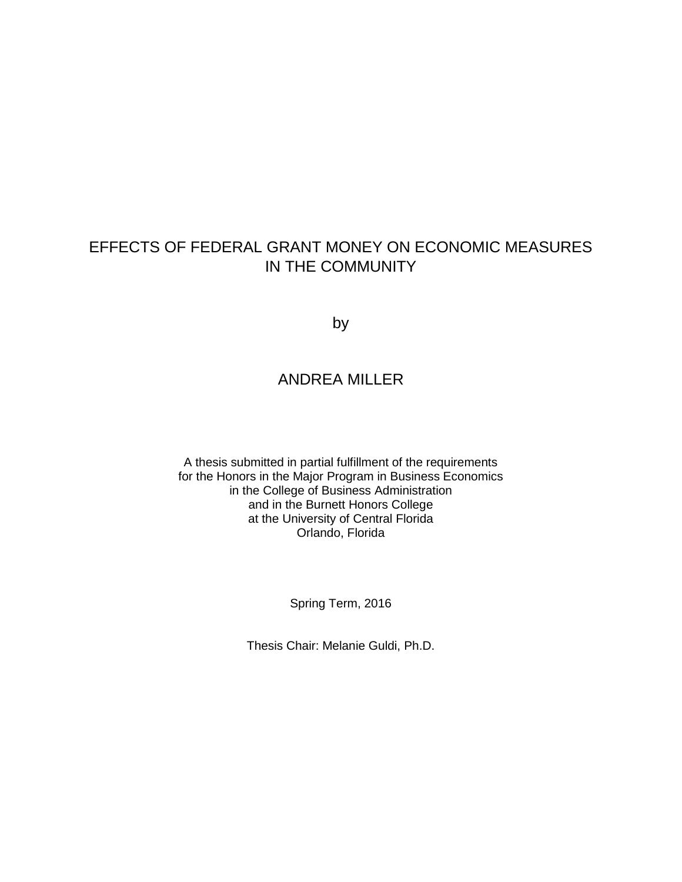## EFFECTS OF FEDERAL GRANT MONEY ON ECONOMIC MEASURES IN THE COMMUNITY

by

## ANDREA MILLER

A thesis submitted in partial fulfillment of the requirements for the Honors in the Major Program in Business Economics in the College of Business Administration and in the Burnett Honors College at the University of Central Florida Orlando, Florida

Spring Term, 2016

Thesis Chair: Melanie Guldi, Ph.D.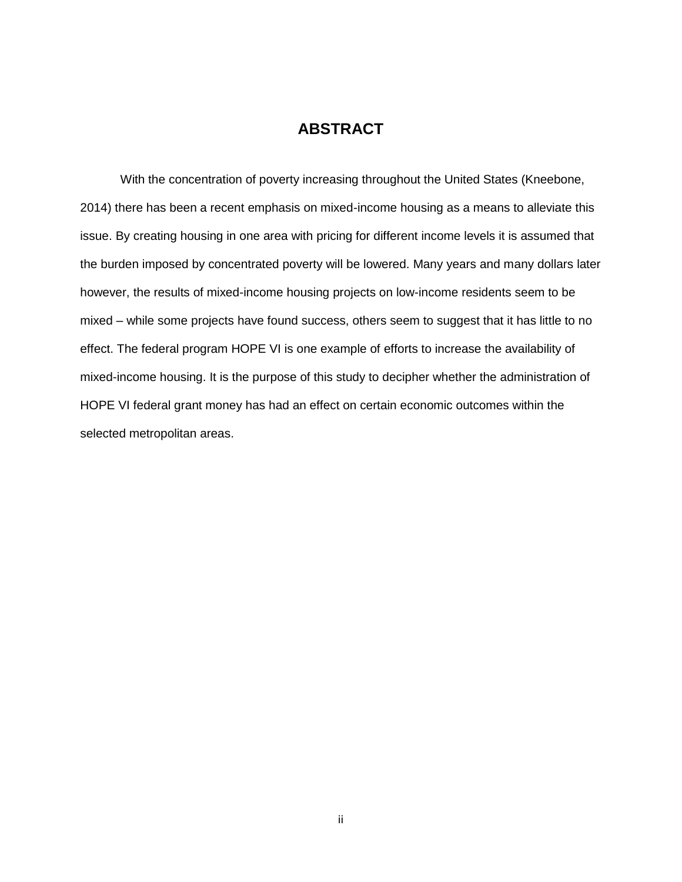## **ABSTRACT**

With the concentration of poverty increasing throughout the United States (Kneebone, 2014) there has been a recent emphasis on mixed-income housing as a means to alleviate this issue. By creating housing in one area with pricing for different income levels it is assumed that the burden imposed by concentrated poverty will be lowered. Many years and many dollars later however, the results of mixed-income housing projects on low-income residents seem to be mixed – while some projects have found success, others seem to suggest that it has little to no effect. The federal program HOPE VI is one example of efforts to increase the availability of mixed-income housing. It is the purpose of this study to decipher whether the administration of HOPE VI federal grant money has had an effect on certain economic outcomes within the selected metropolitan areas.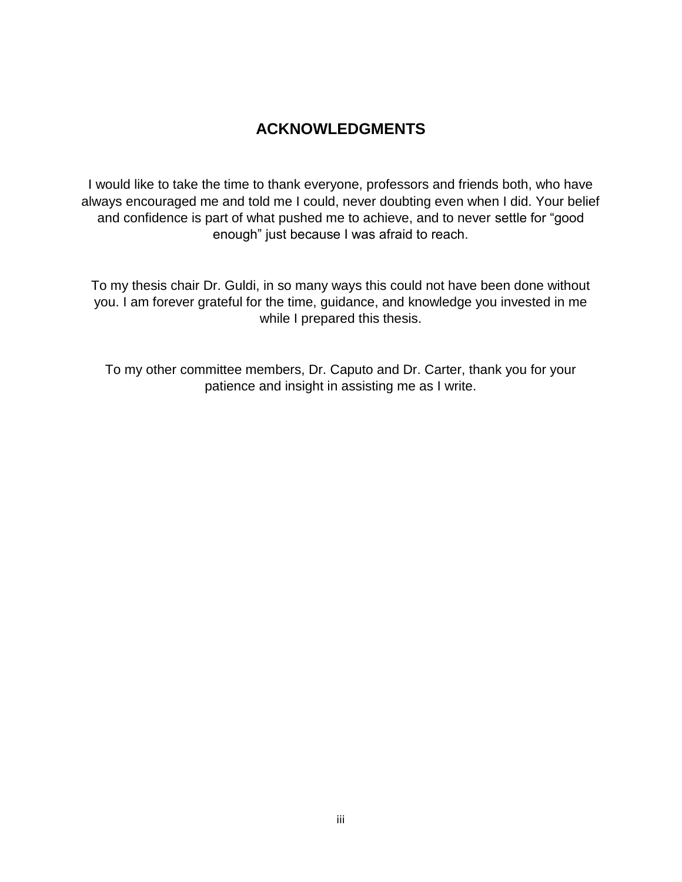## **ACKNOWLEDGMENTS**

I would like to take the time to thank everyone, professors and friends both, who have always encouraged me and told me I could, never doubting even when I did. Your belief and confidence is part of what pushed me to achieve, and to never settle for "good enough" just because I was afraid to reach.

To my thesis chair Dr. Guldi, in so many ways this could not have been done without you. I am forever grateful for the time, guidance, and knowledge you invested in me while I prepared this thesis.

To my other committee members, Dr. Caputo and Dr. Carter, thank you for your patience and insight in assisting me as I write.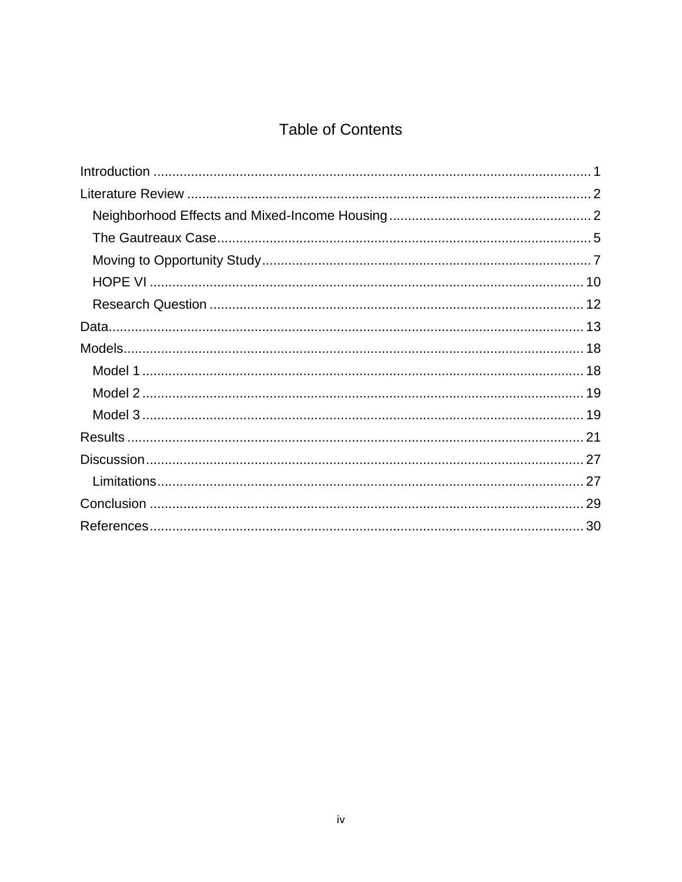## **Table of Contents**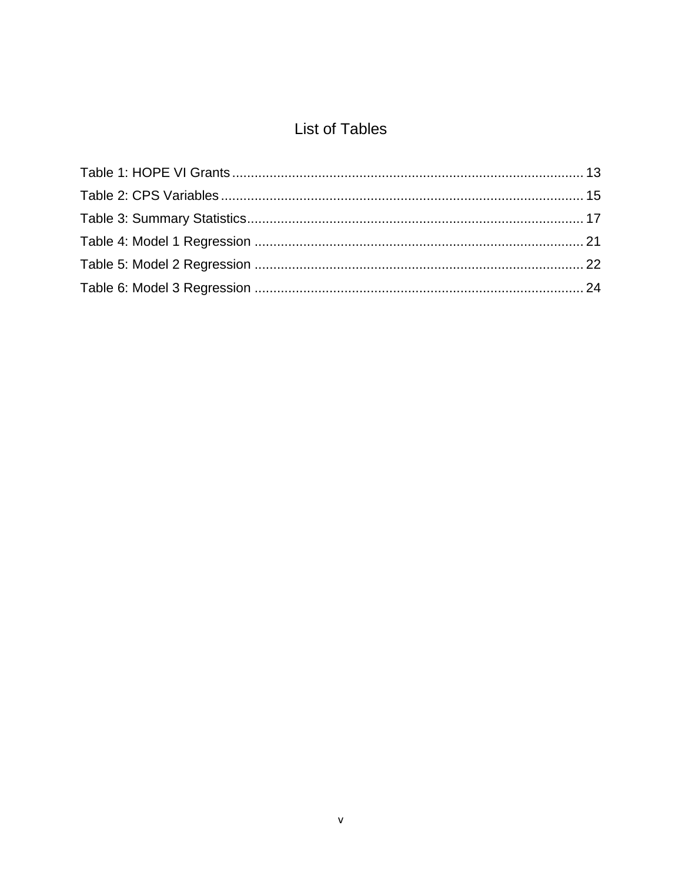## **List of Tables**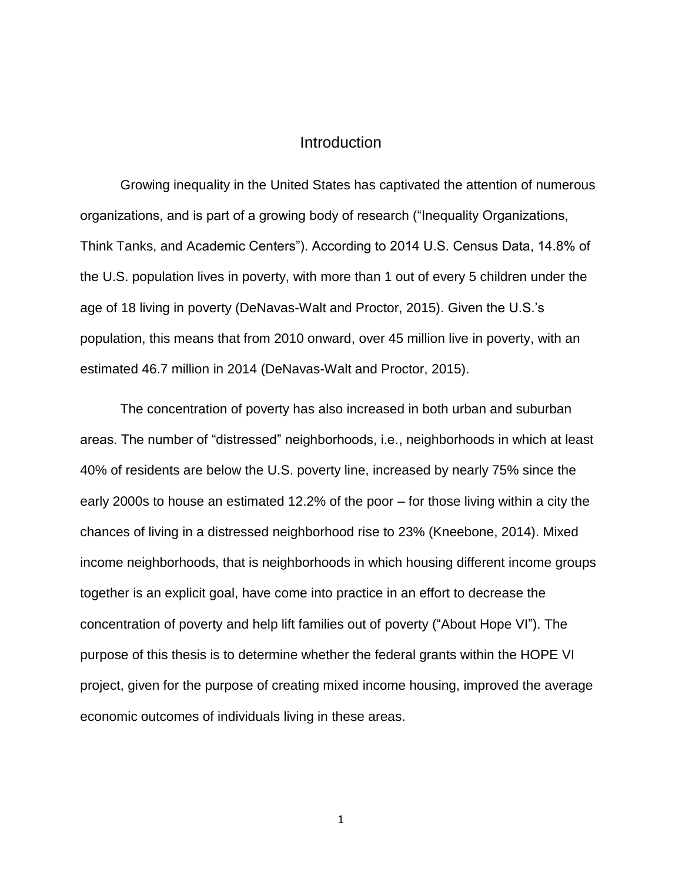### **Introduction**

Growing inequality in the United States has captivated the attention of numerous organizations, and is part of a growing body of research ("Inequality Organizations, Think Tanks, and Academic Centers"). According to 2014 U.S. Census Data, 14.8% of the U.S. population lives in poverty, with more than 1 out of every 5 children under the age of 18 living in poverty (DeNavas-Walt and Proctor, 2015). Given the U.S.'s population, this means that from 2010 onward, over 45 million live in poverty, with an estimated 46.7 million in 2014 (DeNavas-Walt and Proctor, 2015).

The concentration of poverty has also increased in both urban and suburban areas. The number of "distressed" neighborhoods, i.e., neighborhoods in which at least 40% of residents are below the U.S. poverty line, increased by nearly 75% since the early 2000s to house an estimated 12.2% of the poor – for those living within a city the chances of living in a distressed neighborhood rise to 23% (Kneebone, 2014). Mixed income neighborhoods, that is neighborhoods in which housing different income groups together is an explicit goal, have come into practice in an effort to decrease the concentration of poverty and help lift families out of poverty ("About Hope VI"). The purpose of this thesis is to determine whether the federal grants within the HOPE VI project, given for the purpose of creating mixed income housing, improved the average economic outcomes of individuals living in these areas.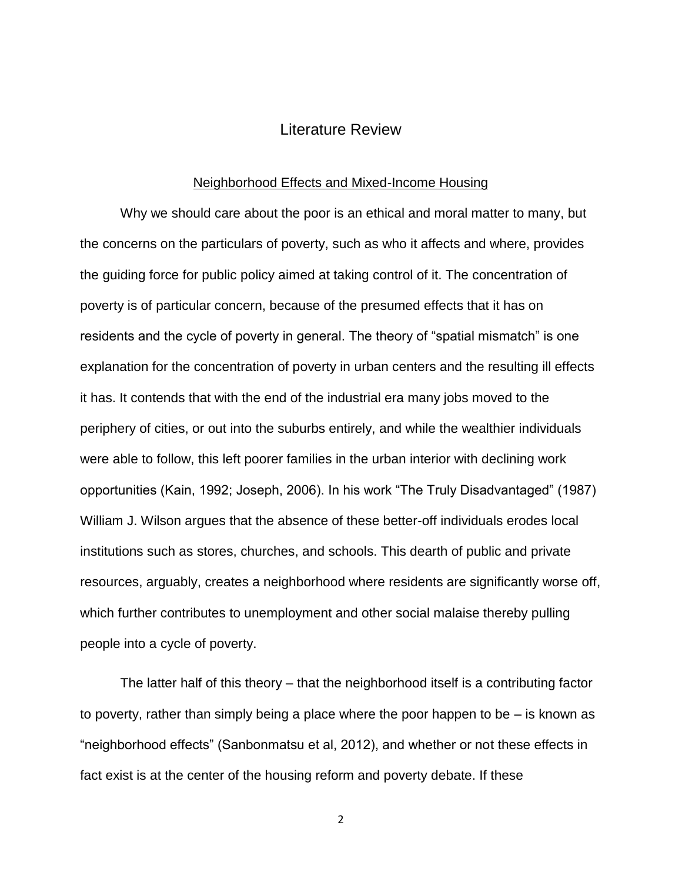### Literature Review

#### Neighborhood Effects and Mixed-Income Housing

Why we should care about the poor is an ethical and moral matter to many, but the concerns on the particulars of poverty, such as who it affects and where, provides the guiding force for public policy aimed at taking control of it. The concentration of poverty is of particular concern, because of the presumed effects that it has on residents and the cycle of poverty in general. The theory of "spatial mismatch" is one explanation for the concentration of poverty in urban centers and the resulting ill effects it has. It contends that with the end of the industrial era many jobs moved to the periphery of cities, or out into the suburbs entirely, and while the wealthier individuals were able to follow, this left poorer families in the urban interior with declining work opportunities (Kain, 1992; Joseph, 2006). In his work "The Truly Disadvantaged" (1987) William J. Wilson argues that the absence of these better-off individuals erodes local institutions such as stores, churches, and schools. This dearth of public and private resources, arguably, creates a neighborhood where residents are significantly worse off, which further contributes to unemployment and other social malaise thereby pulling people into a cycle of poverty.

The latter half of this theory – that the neighborhood itself is a contributing factor to poverty, rather than simply being a place where the poor happen to be – is known as "neighborhood effects" (Sanbonmatsu et al, 2012), and whether or not these effects in fact exist is at the center of the housing reform and poverty debate. If these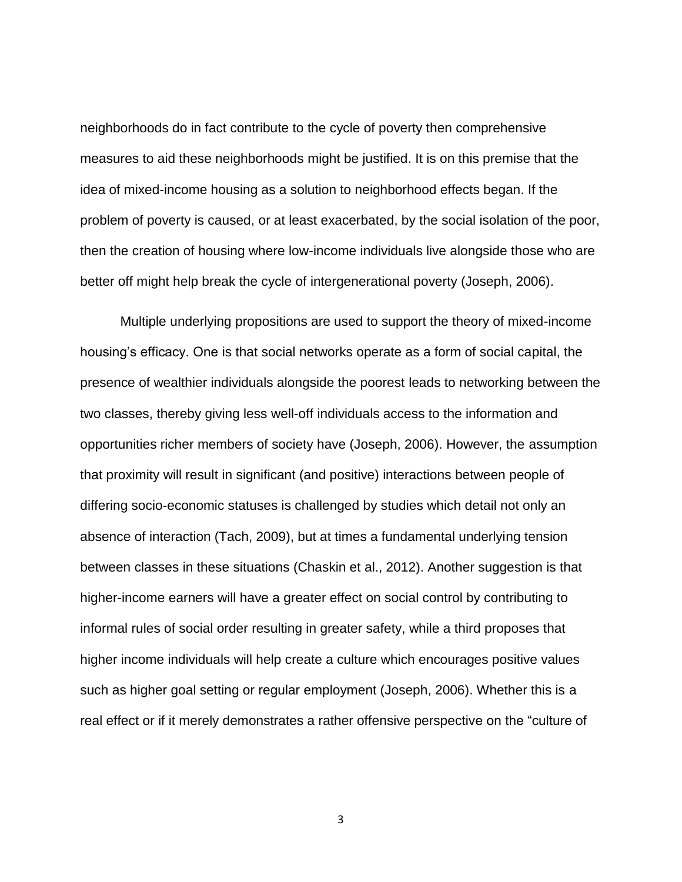neighborhoods do in fact contribute to the cycle of poverty then comprehensive measures to aid these neighborhoods might be justified. It is on this premise that the idea of mixed-income housing as a solution to neighborhood effects began. If the problem of poverty is caused, or at least exacerbated, by the social isolation of the poor, then the creation of housing where low-income individuals live alongside those who are better off might help break the cycle of intergenerational poverty (Joseph, 2006).

Multiple underlying propositions are used to support the theory of mixed-income housing's efficacy. One is that social networks operate as a form of social capital, the presence of wealthier individuals alongside the poorest leads to networking between the two classes, thereby giving less well-off individuals access to the information and opportunities richer members of society have (Joseph, 2006). However, the assumption that proximity will result in significant (and positive) interactions between people of differing socio-economic statuses is challenged by studies which detail not only an absence of interaction (Tach, 2009), but at times a fundamental underlying tension between classes in these situations (Chaskin et al., 2012). Another suggestion is that higher-income earners will have a greater effect on social control by contributing to informal rules of social order resulting in greater safety, while a third proposes that higher income individuals will help create a culture which encourages positive values such as higher goal setting or regular employment (Joseph, 2006). Whether this is a real effect or if it merely demonstrates a rather offensive perspective on the "culture of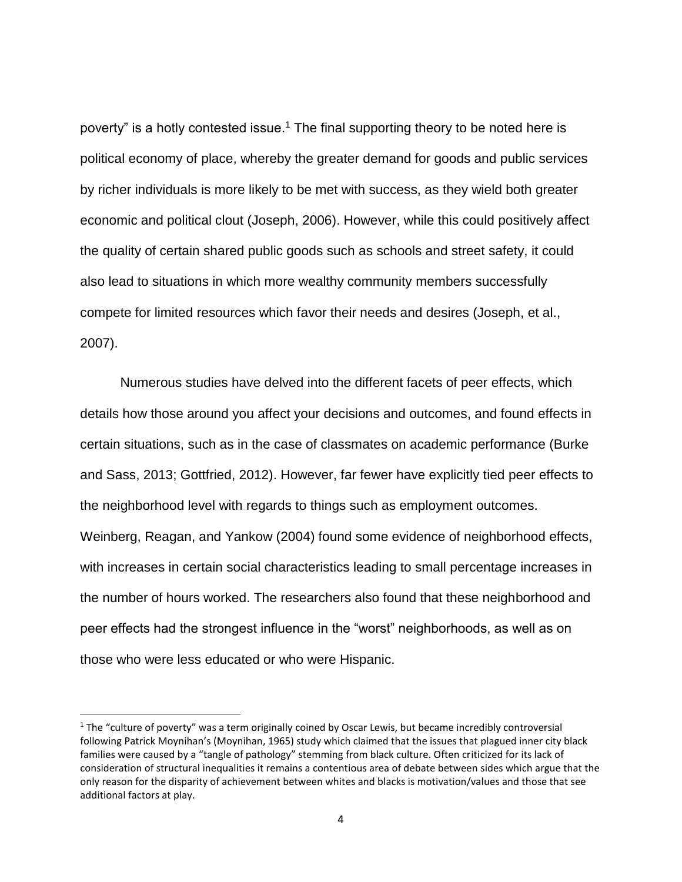poverty" is a hotly contested issue.<sup>1</sup> The final supporting theory to be noted here is political economy of place, whereby the greater demand for goods and public services by richer individuals is more likely to be met with success, as they wield both greater economic and political clout (Joseph, 2006). However, while this could positively affect the quality of certain shared public goods such as schools and street safety, it could also lead to situations in which more wealthy community members successfully compete for limited resources which favor their needs and desires (Joseph, et al., 2007).

Numerous studies have delved into the different facets of peer effects, which details how those around you affect your decisions and outcomes, and found effects in certain situations, such as in the case of classmates on academic performance (Burke and Sass, 2013; Gottfried, 2012). However, far fewer have explicitly tied peer effects to the neighborhood level with regards to things such as employment outcomes. Weinberg, Reagan, and Yankow (2004) found some evidence of neighborhood effects, with increases in certain social characteristics leading to small percentage increases in the number of hours worked. The researchers also found that these neighborhood and peer effects had the strongest influence in the "worst" neighborhoods, as well as on those who were less educated or who were Hispanic.

 $\overline{a}$ 

<sup>&</sup>lt;sup>1</sup> The "culture of poverty" was a term originally coined by Oscar Lewis, but became incredibly controversial following Patrick Moynihan's (Moynihan, 1965) study which claimed that the issues that plagued inner city black families were caused by a "tangle of pathology" stemming from black culture. Often criticized for its lack of consideration of structural inequalities it remains a contentious area of debate between sides which argue that the only reason for the disparity of achievement between whites and blacks is motivation/values and those that see additional factors at play.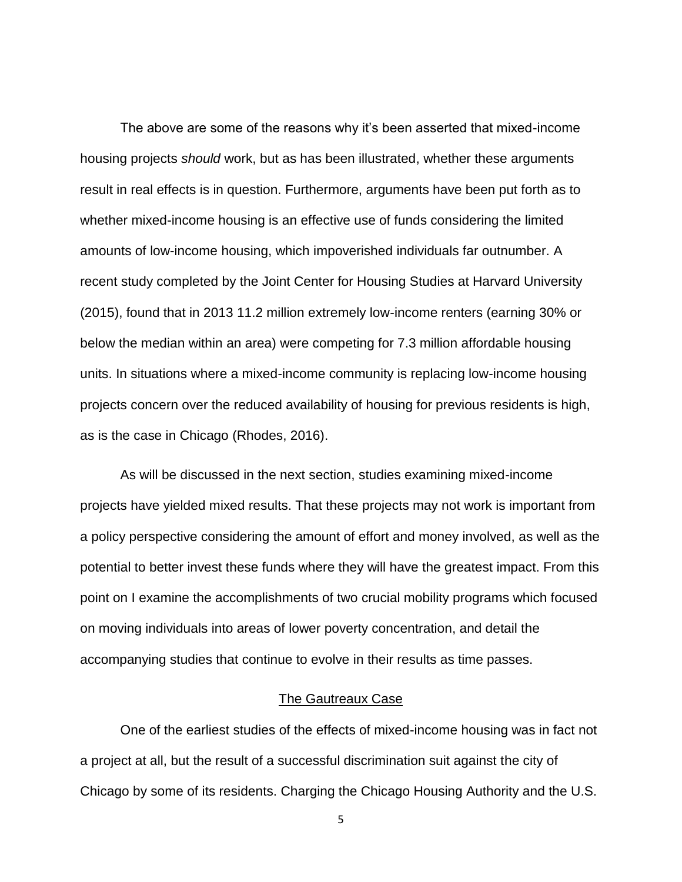The above are some of the reasons why it's been asserted that mixed-income housing projects *should* work, but as has been illustrated, whether these arguments result in real effects is in question. Furthermore, arguments have been put forth as to whether mixed-income housing is an effective use of funds considering the limited amounts of low-income housing, which impoverished individuals far outnumber. A recent study completed by the Joint Center for Housing Studies at Harvard University (2015), found that in 2013 11.2 million extremely low-income renters (earning 30% or below the median within an area) were competing for 7.3 million affordable housing units. In situations where a mixed-income community is replacing low-income housing projects concern over the reduced availability of housing for previous residents is high, as is the case in Chicago (Rhodes, 2016).

As will be discussed in the next section, studies examining mixed-income projects have yielded mixed results. That these projects may not work is important from a policy perspective considering the amount of effort and money involved, as well as the potential to better invest these funds where they will have the greatest impact. From this point on I examine the accomplishments of two crucial mobility programs which focused on moving individuals into areas of lower poverty concentration, and detail the accompanying studies that continue to evolve in their results as time passes.

#### The Gautreaux Case

One of the earliest studies of the effects of mixed-income housing was in fact not a project at all, but the result of a successful discrimination suit against the city of Chicago by some of its residents. Charging the Chicago Housing Authority and the U.S.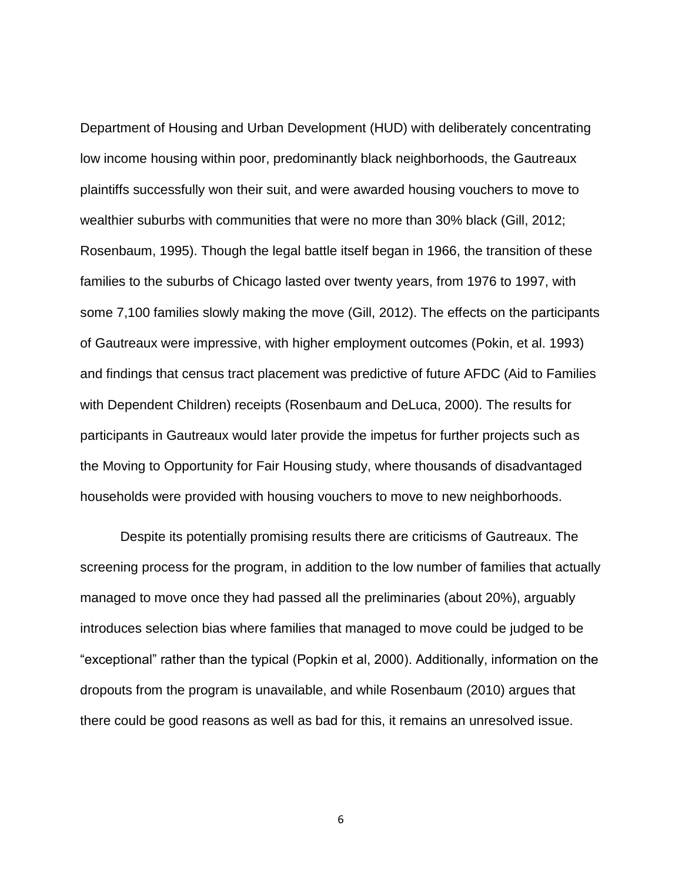Department of Housing and Urban Development (HUD) with deliberately concentrating low income housing within poor, predominantly black neighborhoods, the Gautreaux plaintiffs successfully won their suit, and were awarded housing vouchers to move to wealthier suburbs with communities that were no more than 30% black (Gill, 2012; Rosenbaum, 1995). Though the legal battle itself began in 1966, the transition of these families to the suburbs of Chicago lasted over twenty years, from 1976 to 1997, with some 7,100 families slowly making the move (Gill, 2012). The effects on the participants of Gautreaux were impressive, with higher employment outcomes (Pokin, et al. 1993) and findings that census tract placement was predictive of future AFDC (Aid to Families with Dependent Children) receipts (Rosenbaum and DeLuca, 2000). The results for participants in Gautreaux would later provide the impetus for further projects such as the Moving to Opportunity for Fair Housing study, where thousands of disadvantaged households were provided with housing vouchers to move to new neighborhoods.

Despite its potentially promising results there are criticisms of Gautreaux. The screening process for the program, in addition to the low number of families that actually managed to move once they had passed all the preliminaries (about 20%), arguably introduces selection bias where families that managed to move could be judged to be "exceptional" rather than the typical (Popkin et al, 2000). Additionally, information on the dropouts from the program is unavailable, and while Rosenbaum (2010) argues that there could be good reasons as well as bad for this, it remains an unresolved issue.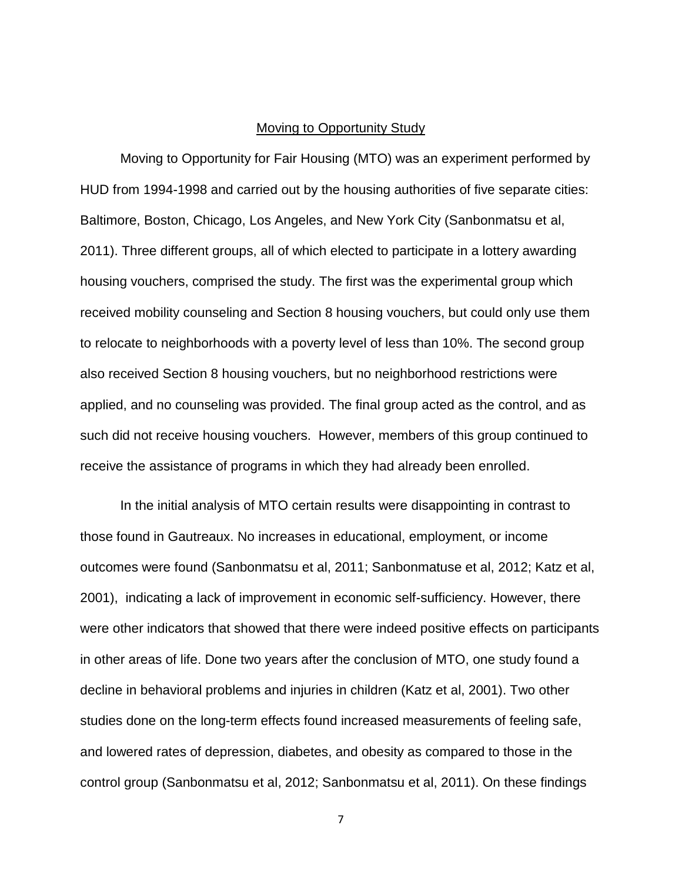#### Moving to Opportunity Study

Moving to Opportunity for Fair Housing (MTO) was an experiment performed by HUD from 1994-1998 and carried out by the housing authorities of five separate cities: Baltimore, Boston, Chicago, Los Angeles, and New York City (Sanbonmatsu et al, 2011). Three different groups, all of which elected to participate in a lottery awarding housing vouchers, comprised the study. The first was the experimental group which received mobility counseling and Section 8 housing vouchers, but could only use them to relocate to neighborhoods with a poverty level of less than 10%. The second group also received Section 8 housing vouchers, but no neighborhood restrictions were applied, and no counseling was provided. The final group acted as the control, and as such did not receive housing vouchers. However, members of this group continued to receive the assistance of programs in which they had already been enrolled.

In the initial analysis of MTO certain results were disappointing in contrast to those found in Gautreaux. No increases in educational, employment, or income outcomes were found (Sanbonmatsu et al, 2011; Sanbonmatuse et al, 2012; Katz et al, 2001), indicating a lack of improvement in economic self-sufficiency. However, there were other indicators that showed that there were indeed positive effects on participants in other areas of life. Done two years after the conclusion of MTO, one study found a decline in behavioral problems and injuries in children (Katz et al, 2001). Two other studies done on the long-term effects found increased measurements of feeling safe, and lowered rates of depression, diabetes, and obesity as compared to those in the control group (Sanbonmatsu et al, 2012; Sanbonmatsu et al, 2011). On these findings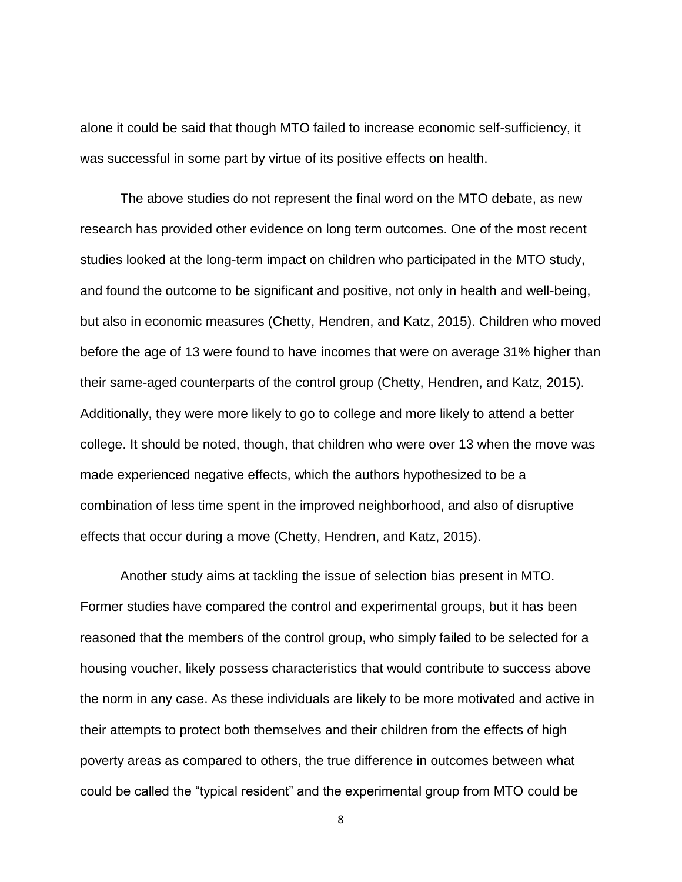alone it could be said that though MTO failed to increase economic self-sufficiency, it was successful in some part by virtue of its positive effects on health.

The above studies do not represent the final word on the MTO debate, as new research has provided other evidence on long term outcomes. One of the most recent studies looked at the long-term impact on children who participated in the MTO study, and found the outcome to be significant and positive, not only in health and well-being, but also in economic measures (Chetty, Hendren, and Katz, 2015). Children who moved before the age of 13 were found to have incomes that were on average 31% higher than their same-aged counterparts of the control group (Chetty, Hendren, and Katz, 2015). Additionally, they were more likely to go to college and more likely to attend a better college. It should be noted, though, that children who were over 13 when the move was made experienced negative effects, which the authors hypothesized to be a combination of less time spent in the improved neighborhood, and also of disruptive effects that occur during a move (Chetty, Hendren, and Katz, 2015).

Another study aims at tackling the issue of selection bias present in MTO. Former studies have compared the control and experimental groups, but it has been reasoned that the members of the control group, who simply failed to be selected for a housing voucher, likely possess characteristics that would contribute to success above the norm in any case. As these individuals are likely to be more motivated and active in their attempts to protect both themselves and their children from the effects of high poverty areas as compared to others, the true difference in outcomes between what could be called the "typical resident" and the experimental group from MTO could be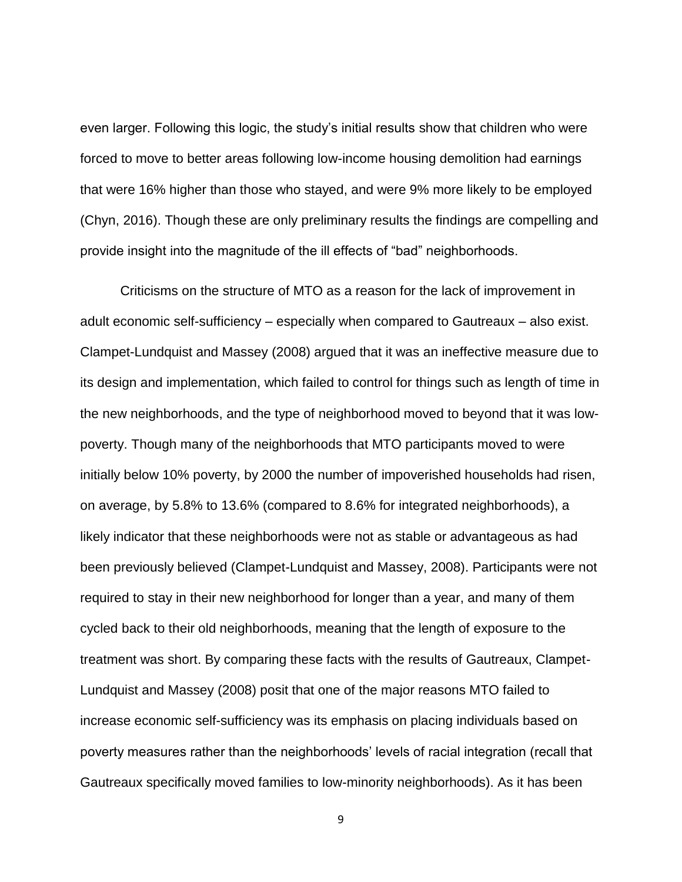even larger. Following this logic, the study's initial results show that children who were forced to move to better areas following low-income housing demolition had earnings that were 16% higher than those who stayed, and were 9% more likely to be employed (Chyn, 2016). Though these are only preliminary results the findings are compelling and provide insight into the magnitude of the ill effects of "bad" neighborhoods.

Criticisms on the structure of MTO as a reason for the lack of improvement in adult economic self-sufficiency – especially when compared to Gautreaux – also exist. Clampet-Lundquist and Massey (2008) argued that it was an ineffective measure due to its design and implementation, which failed to control for things such as length of time in the new neighborhoods, and the type of neighborhood moved to beyond that it was lowpoverty. Though many of the neighborhoods that MTO participants moved to were initially below 10% poverty, by 2000 the number of impoverished households had risen, on average, by 5.8% to 13.6% (compared to 8.6% for integrated neighborhoods), a likely indicator that these neighborhoods were not as stable or advantageous as had been previously believed (Clampet-Lundquist and Massey, 2008). Participants were not required to stay in their new neighborhood for longer than a year, and many of them cycled back to their old neighborhoods, meaning that the length of exposure to the treatment was short. By comparing these facts with the results of Gautreaux, Clampet-Lundquist and Massey (2008) posit that one of the major reasons MTO failed to increase economic self-sufficiency was its emphasis on placing individuals based on poverty measures rather than the neighborhoods' levels of racial integration (recall that Gautreaux specifically moved families to low-minority neighborhoods). As it has been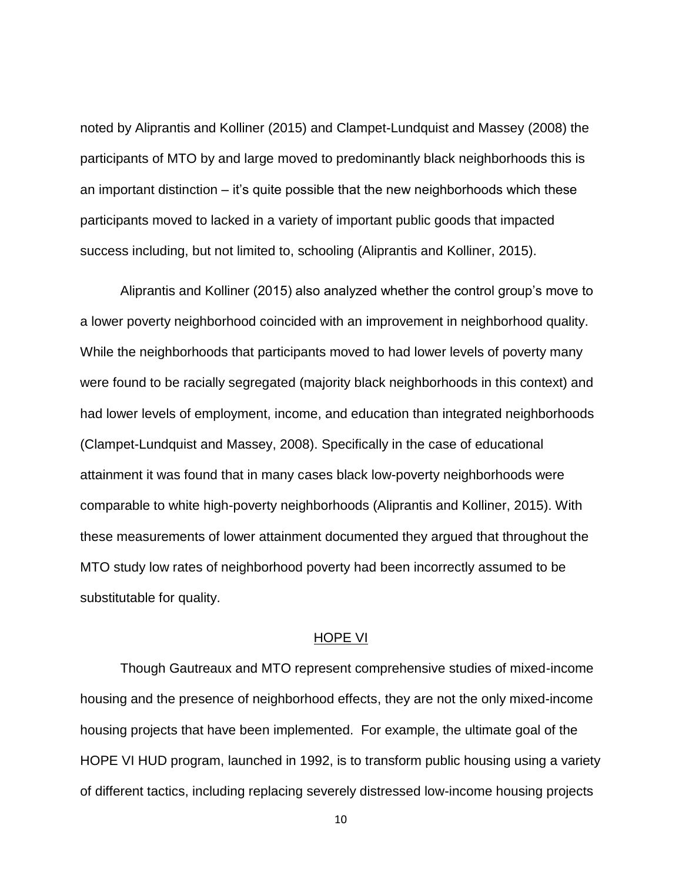noted by Aliprantis and Kolliner (2015) and Clampet-Lundquist and Massey (2008) the participants of MTO by and large moved to predominantly black neighborhoods this is an important distinction – it's quite possible that the new neighborhoods which these participants moved to lacked in a variety of important public goods that impacted success including, but not limited to, schooling (Aliprantis and Kolliner, 2015).

Aliprantis and Kolliner (2015) also analyzed whether the control group's move to a lower poverty neighborhood coincided with an improvement in neighborhood quality. While the neighborhoods that participants moved to had lower levels of poverty many were found to be racially segregated (majority black neighborhoods in this context) and had lower levels of employment, income, and education than integrated neighborhoods (Clampet-Lundquist and Massey, 2008). Specifically in the case of educational attainment it was found that in many cases black low-poverty neighborhoods were comparable to white high-poverty neighborhoods (Aliprantis and Kolliner, 2015). With these measurements of lower attainment documented they argued that throughout the MTO study low rates of neighborhood poverty had been incorrectly assumed to be substitutable for quality.

#### HOPE VI

Though Gautreaux and MTO represent comprehensive studies of mixed-income housing and the presence of neighborhood effects, they are not the only mixed-income housing projects that have been implemented. For example, the ultimate goal of the HOPE VI HUD program, launched in 1992, is to transform public housing using a variety of different tactics, including replacing severely distressed low-income housing projects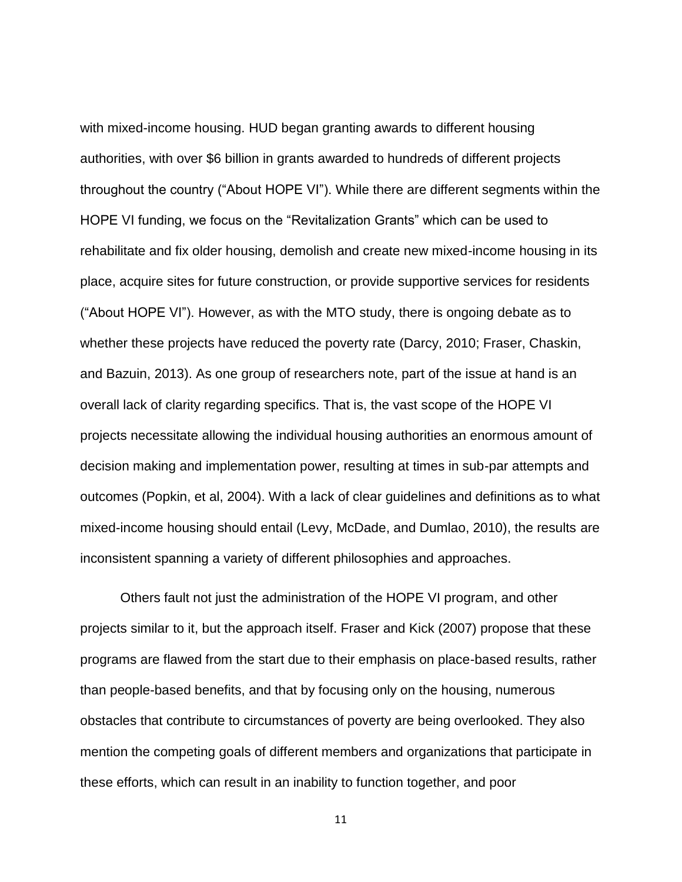with mixed-income housing. HUD began granting awards to different housing authorities, with over \$6 billion in grants awarded to hundreds of different projects throughout the country ("About HOPE VI"). While there are different segments within the HOPE VI funding, we focus on the "Revitalization Grants" which can be used to rehabilitate and fix older housing, demolish and create new mixed-income housing in its place, acquire sites for future construction, or provide supportive services for residents ("About HOPE VI"). However, as with the MTO study, there is ongoing debate as to whether these projects have reduced the poverty rate (Darcy, 2010; Fraser, Chaskin, and Bazuin, 2013). As one group of researchers note, part of the issue at hand is an overall lack of clarity regarding specifics. That is, the vast scope of the HOPE VI projects necessitate allowing the individual housing authorities an enormous amount of decision making and implementation power, resulting at times in sub-par attempts and outcomes (Popkin, et al, 2004). With a lack of clear guidelines and definitions as to what mixed-income housing should entail (Levy, McDade, and Dumlao, 2010), the results are inconsistent spanning a variety of different philosophies and approaches.

Others fault not just the administration of the HOPE VI program, and other projects similar to it, but the approach itself. Fraser and Kick (2007) propose that these programs are flawed from the start due to their emphasis on place-based results, rather than people-based benefits, and that by focusing only on the housing, numerous obstacles that contribute to circumstances of poverty are being overlooked. They also mention the competing goals of different members and organizations that participate in these efforts, which can result in an inability to function together, and poor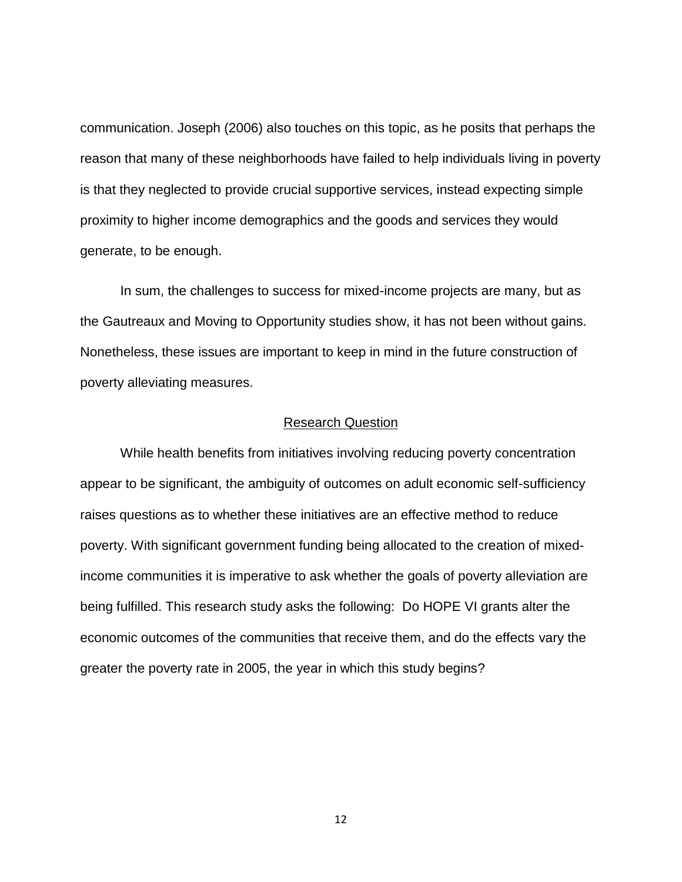communication. Joseph (2006) also touches on this topic, as he posits that perhaps the reason that many of these neighborhoods have failed to help individuals living in poverty is that they neglected to provide crucial supportive services, instead expecting simple proximity to higher income demographics and the goods and services they would generate, to be enough.

In sum, the challenges to success for mixed-income projects are many, but as the Gautreaux and Moving to Opportunity studies show, it has not been without gains. Nonetheless, these issues are important to keep in mind in the future construction of poverty alleviating measures.

#### Research Question

While health benefits from initiatives involving reducing poverty concentration appear to be significant, the ambiguity of outcomes on adult economic self-sufficiency raises questions as to whether these initiatives are an effective method to reduce poverty. With significant government funding being allocated to the creation of mixedincome communities it is imperative to ask whether the goals of poverty alleviation are being fulfilled. This research study asks the following: Do HOPE VI grants alter the economic outcomes of the communities that receive them, and do the effects vary the greater the poverty rate in 2005, the year in which this study begins?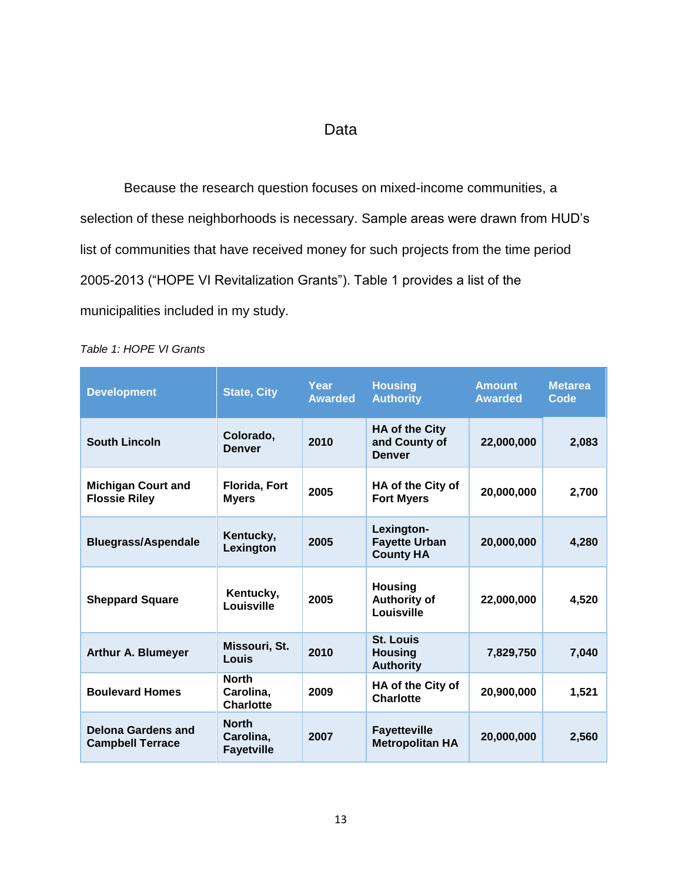## Data

Because the research question focuses on mixed-income communities, a selection of these neighborhoods is necessary. Sample areas were drawn from HUD's list of communities that have received money for such projects from the time period 2005-2013 ("HOPE VI Revitalization Grants"). Table 1 provides a list of the municipalities included in my study.

| <b>Development</b>                                   | <b>State, City</b>                             | Year<br><b>Awarded</b> | <b>Housing</b><br><b>Authority</b>                      | <b>Amount</b><br><b>Awarded</b> | <b>Metarea</b><br>Code |
|------------------------------------------------------|------------------------------------------------|------------------------|---------------------------------------------------------|---------------------------------|------------------------|
| <b>South Lincoln</b>                                 | Colorado,<br><b>Denver</b>                     | 2010                   | <b>HA of the City</b><br>and County of<br><b>Denver</b> | 22,000,000                      | 2,083                  |
| <b>Michigan Court and</b><br><b>Flossie Riley</b>    | <b>Florida, Fort</b><br><b>Myers</b>           | 2005                   | HA of the City of<br><b>Fort Myers</b>                  | 20,000,000                      | 2,700                  |
| <b>Bluegrass/Aspendale</b>                           | Kentucky,<br>Lexington                         | 2005                   | Lexington-<br><b>Fayette Urban</b><br><b>County HA</b>  | 20,000,000                      | 4,280                  |
| <b>Sheppard Square</b>                               | Kentucky,<br>Louisville                        | 2005                   | <b>Housing</b><br><b>Authority of</b><br>Louisville     | 22,000,000                      | 4,520                  |
| <b>Arthur A. Blumeyer</b>                            | Missouri, St.<br>Louis                         | 2010                   | <b>St. Louis</b><br><b>Housing</b><br><b>Authority</b>  | 7,829,750                       | 7,040                  |
| <b>Boulevard Homes</b>                               | <b>North</b><br>Carolina,<br><b>Charlotte</b>  | 2009                   | HA of the City of<br><b>Charlotte</b>                   | 20,900,000                      | 1,521                  |
| <b>Delona Gardens and</b><br><b>Campbell Terrace</b> | <b>North</b><br>Carolina,<br><b>Fayetville</b> | 2007                   | <b>Fayetteville</b><br><b>Metropolitan HA</b>           | 20,000,000                      | 2,560                  |

<span id="page-18-0"></span>*Table 1: HOPE VI Grants*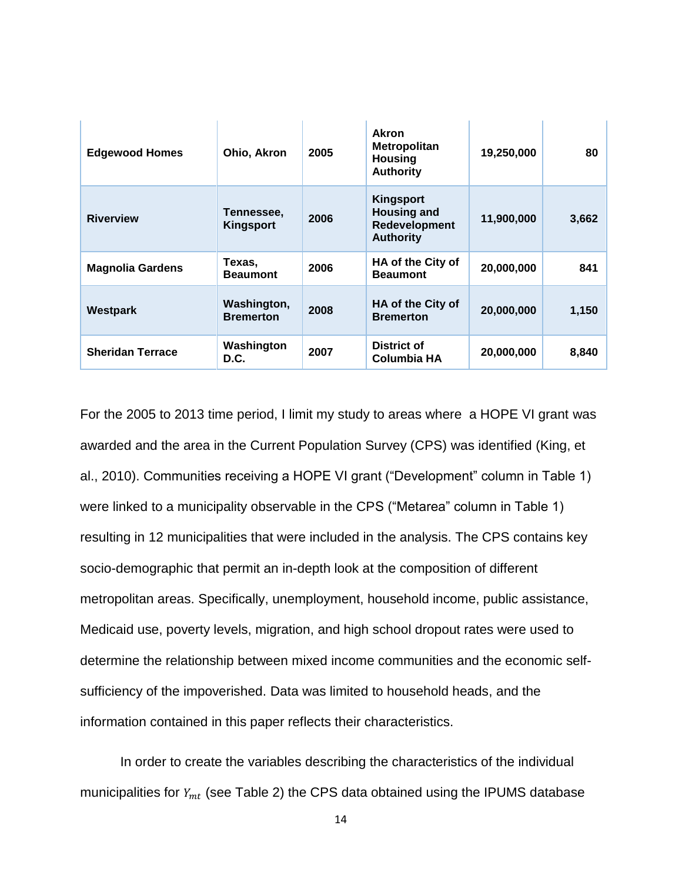| <b>Edgewood Homes</b>   | Ohio, Akron                     | 2005 | Akron<br><b>Metropolitan</b><br><b>Housing</b><br><b>Authority</b>          | 19,250,000 | 80    |
|-------------------------|---------------------------------|------|-----------------------------------------------------------------------------|------------|-------|
| <b>Riverview</b>        | Tennessee.<br>Kingsport         | 2006 | <b>Kingsport</b><br><b>Housing and</b><br>Redevelopment<br><b>Authority</b> | 11,900,000 | 3,662 |
| <b>Magnolia Gardens</b> | Texas,<br><b>Beaumont</b>       | 2006 | HA of the City of<br><b>Beaumont</b>                                        | 20,000,000 | 841   |
| Westpark                | Washington,<br><b>Bremerton</b> | 2008 | HA of the City of<br><b>Bremerton</b>                                       | 20,000,000 | 1,150 |
| <b>Sheridan Terrace</b> | Washington<br>D.C.              | 2007 | <b>District of</b><br><b>Columbia HA</b>                                    | 20,000,000 | 8,840 |

For the 2005 to 2013 time period, I limit my study to areas where a HOPE VI grant was awarded and the area in the Current Population Survey (CPS) was identified (King, et al., 2010). Communities receiving a HOPE VI grant ("Development" column in Table 1) were linked to a municipality observable in the CPS ("Metarea" column in Table 1) resulting in 12 municipalities that were included in the analysis. The CPS contains key socio-demographic that permit an in-depth look at the composition of different metropolitan areas. Specifically, unemployment, household income, public assistance, Medicaid use, poverty levels, migration, and high school dropout rates were used to determine the relationship between mixed income communities and the economic selfsufficiency of the impoverished. Data was limited to household heads, and the information contained in this paper reflects their characteristics.

In order to create the variables describing the characteristics of the individual municipalities for  $Y_{mt}$  (see Table 2) the CPS data obtained using the IPUMS database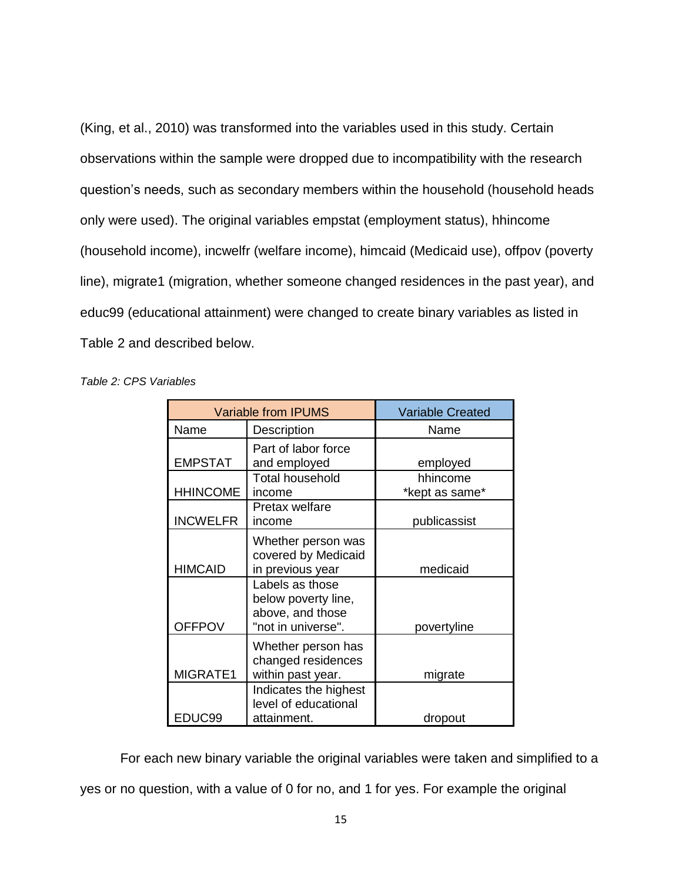(King, et al., 2010) was transformed into the variables used in this study. Certain observations within the sample were dropped due to incompatibility with the research question's needs, such as secondary members within the household (household heads only were used). The original variables empstat (employment status), hhincome (household income), incwelfr (welfare income), himcaid (Medicaid use), offpov (poverty line), migrate1 (migration, whether someone changed residences in the past year), and educ99 (educational attainment) were changed to create binary variables as listed in Table 2 and described below.

<span id="page-20-0"></span>*Table 2: CPS Variables*

|                 | <b>Variable from IPUMS</b>                                                       | <b>Variable Created</b>    |
|-----------------|----------------------------------------------------------------------------------|----------------------------|
| Name            | Description                                                                      | Name                       |
| <b>EMPSTAT</b>  | Part of labor force<br>and employed                                              | employed                   |
| <b>HHINCOME</b> | <b>Total household</b><br>income                                                 | hhincome<br>*kept as same* |
| <b>INCWELFR</b> | Pretax welfare<br>income                                                         | publicassist               |
| <b>HIMCAID</b>  | Whether person was<br>covered by Medicaid<br>in previous year                    | medicaid                   |
| <b>OFFPOV</b>   | Labels as those<br>below poverty line,<br>above, and those<br>"not in universe". | povertyline                |
| MIGRATE1        | Whether person has<br>changed residences<br>within past year.                    | migrate                    |
| EDUC99          | Indicates the highest<br>level of educational<br>attainment.                     | dropout                    |

For each new binary variable the original variables were taken and simplified to a yes or no question, with a value of 0 for no, and 1 for yes. For example the original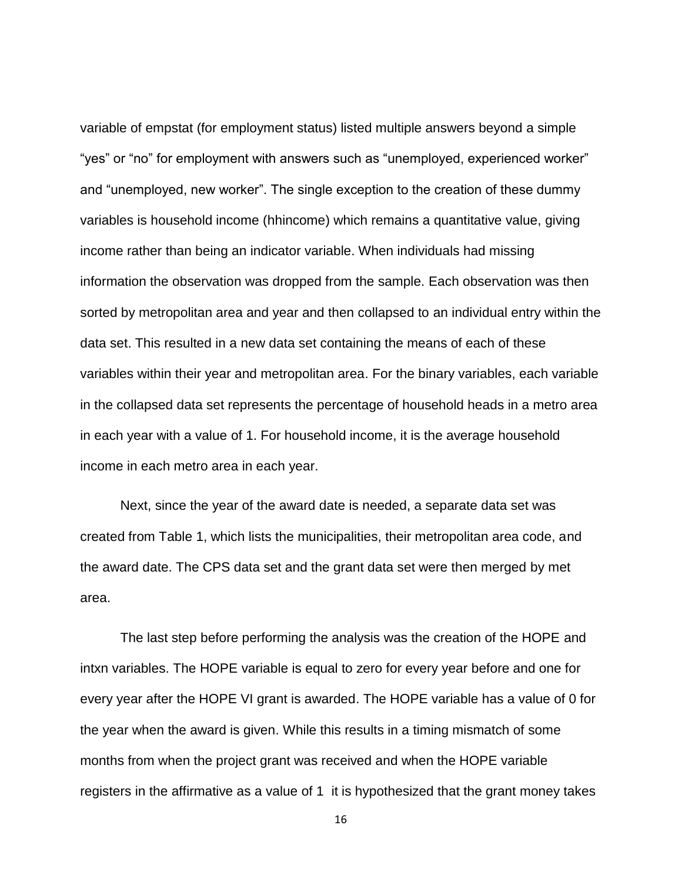variable of empstat (for employment status) listed multiple answers beyond a simple "yes" or "no" for employment with answers such as "unemployed, experienced worker" and "unemployed, new worker". The single exception to the creation of these dummy variables is household income (hhincome) which remains a quantitative value, giving income rather than being an indicator variable. When individuals had missing information the observation was dropped from the sample. Each observation was then sorted by metropolitan area and year and then collapsed to an individual entry within the data set. This resulted in a new data set containing the means of each of these variables within their year and metropolitan area. For the binary variables, each variable in the collapsed data set represents the percentage of household heads in a metro area in each year with a value of 1. For household income, it is the average household income in each metro area in each year.

Next, since the year of the award date is needed, a separate data set was created from Table 1, which lists the municipalities, their metropolitan area code, and the award date. The CPS data set and the grant data set were then merged by met area.

The last step before performing the analysis was the creation of the HOPE and intxn variables. The HOPE variable is equal to zero for every year before and one for every year after the HOPE VI grant is awarded. The HOPE variable has a value of 0 for the year when the award is given. While this results in a timing mismatch of some months from when the project grant was received and when the HOPE variable registers in the affirmative as a value of 1 it is hypothesized that the grant money takes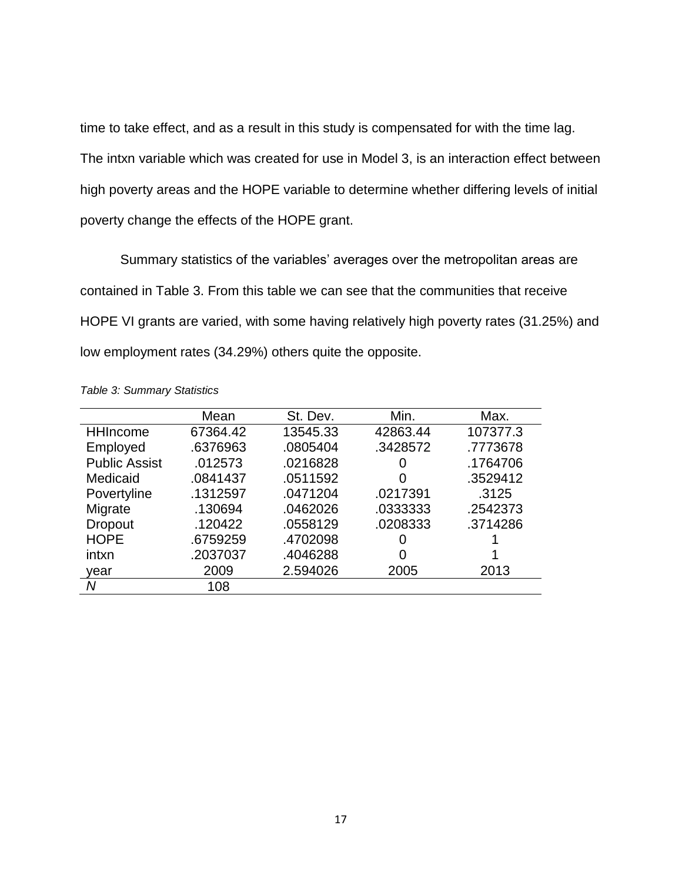time to take effect, and as a result in this study is compensated for with the time lag. The intxn variable which was created for use in Model 3, is an interaction effect between high poverty areas and the HOPE variable to determine whether differing levels of initial poverty change the effects of the HOPE grant.

Summary statistics of the variables' averages over the metropolitan areas are contained in Table 3. From this table we can see that the communities that receive HOPE VI grants are varied, with some having relatively high poverty rates (31.25%) and low employment rates (34.29%) others quite the opposite.

|                      | Mean     | St. Dev. | Min.     | Max.     |
|----------------------|----------|----------|----------|----------|
| <b>HHIncome</b>      | 67364.42 | 13545.33 | 42863.44 | 107377.3 |
| Employed             | .6376963 | .0805404 | .3428572 | .7773678 |
| <b>Public Assist</b> | .012573  | .0216828 | 0        | .1764706 |
| Medicaid             | .0841437 | .0511592 | 0        | .3529412 |
| Povertyline          | .1312597 | .0471204 | .0217391 | .3125    |
| Migrate              | .130694  | .0462026 | .0333333 | .2542373 |
| <b>Dropout</b>       | .120422  | .0558129 | .0208333 | .3714286 |
| <b>HOPE</b>          | .6759259 | .4702098 | 0        |          |
| intxn                | .2037037 | .4046288 | 0        |          |
| year                 | 2009     | 2.594026 | 2005     | 2013     |
| Ν                    | 108      |          |          |          |

<span id="page-22-0"></span>*Table 3: Summary Statistics*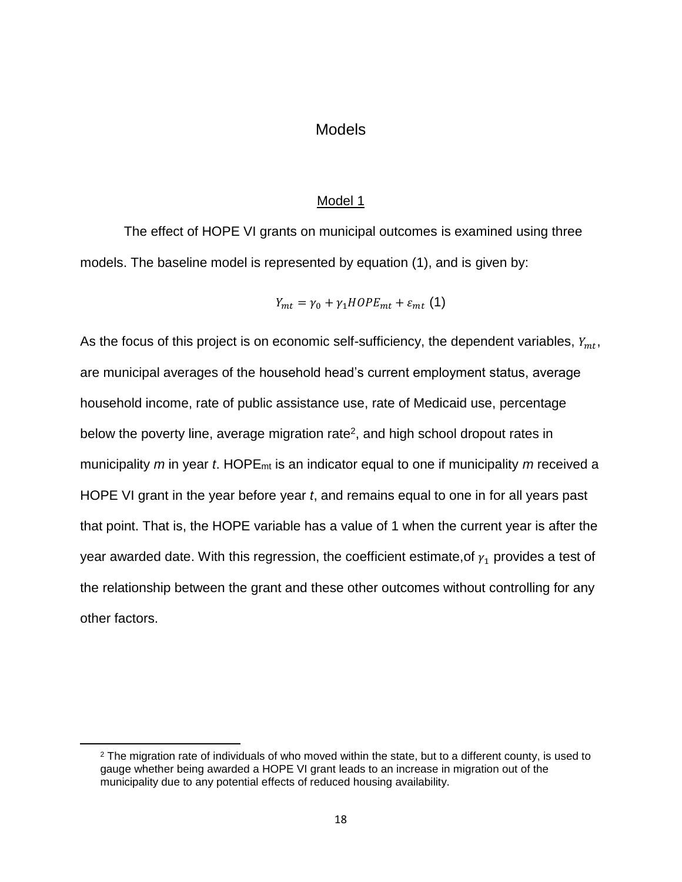## **Models**

#### Model 1

The effect of HOPE VI grants on municipal outcomes is examined using three models. The baseline model is represented by equation (1), and is given by:

$$
Y_{mt} = \gamma_0 + \gamma_1 H OPE_{mt} + \varepsilon_{mt} (1)
$$

As the focus of this project is on economic self-sufficiency, the dependent variables,  $Y_{mt}$ , are municipal averages of the household head's current employment status, average household income, rate of public assistance use, rate of Medicaid use, percentage below the poverty line, average migration rate<sup>2</sup>, and high school dropout rates in municipality *m* in year *t*. HOPEmt is an indicator equal to one if municipality *m* received a HOPE VI grant in the year before year *t*, and remains equal to one in for all years past that point. That is, the HOPE variable has a value of 1 when the current year is after the year awarded date. With this regression, the coefficient estimate, of  $\gamma_1$  provides a test of the relationship between the grant and these other outcomes without controlling for any other factors.

 $\overline{\phantom{a}}$ 

 $2$  The migration rate of individuals of who moved within the state, but to a different county, is used to gauge whether being awarded a HOPE VI grant leads to an increase in migration out of the municipality due to any potential effects of reduced housing availability.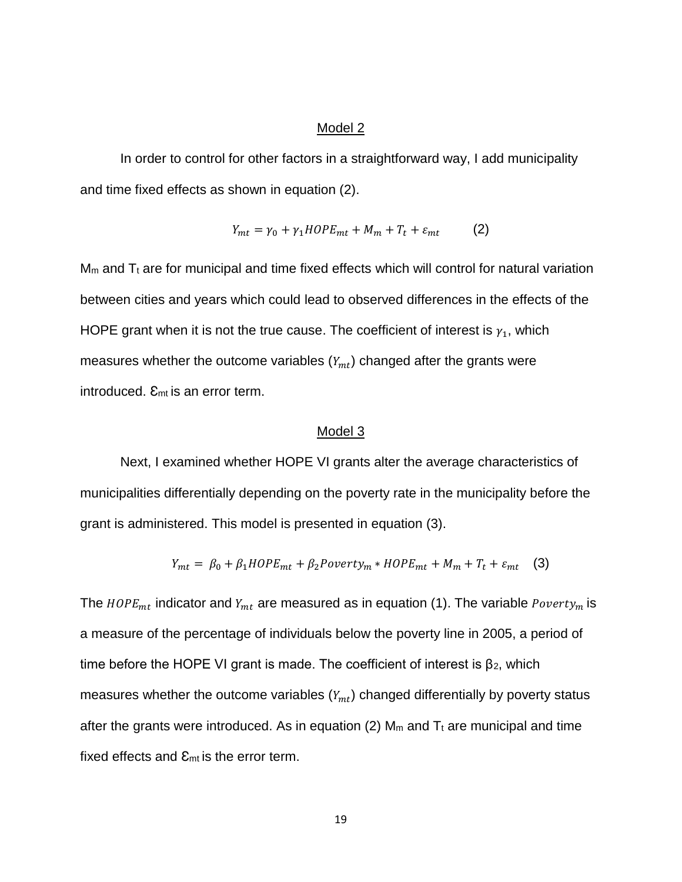#### Model 2

In order to control for other factors in a straightforward way, I add municipality and time fixed effects as shown in equation (2).

$$
Y_{mt} = \gamma_0 + \gamma_1 H OPE_{mt} + M_m + T_t + \varepsilon_{mt}
$$
 (2)

 $M<sub>m</sub>$  and  $T<sub>t</sub>$  are for municipal and time fixed effects which will control for natural variation between cities and years which could lead to observed differences in the effects of the HOPE grant when it is not the true cause. The coefficient of interest is  $\gamma_1$ , which measures whether the outcome variables  $(Y_{mt})$  changed after the grants were introduced.  $E_{mt}$  is an error term.

#### Model 3

Next, I examined whether HOPE VI grants alter the average characteristics of municipalities differentially depending on the poverty rate in the municipality before the grant is administered. This model is presented in equation (3).

$$
Y_{mt} = \beta_0 + \beta_1 H OPE_{mt} + \beta_2 Power t y_m * H OPE_{mt} + M_m + T_t + \varepsilon_{mt} \quad (3)
$$

The  $H OPE_{mt}$  indicator and  $Y_{mt}$  are measured as in equation (1). The variable  $Powerty_m$  is a measure of the percentage of individuals below the poverty line in 2005, a period of time before the HOPE VI grant is made. The coefficient of interest is  $\beta_2$ , which measures whether the outcome variables  $(Y_{mt})$  changed differentially by poverty status after the grants were introduced. As in equation (2)  $M_m$  and  $T_t$  are municipal and time fixed effects and  $\mathcal{E}_{mt}$  is the error term.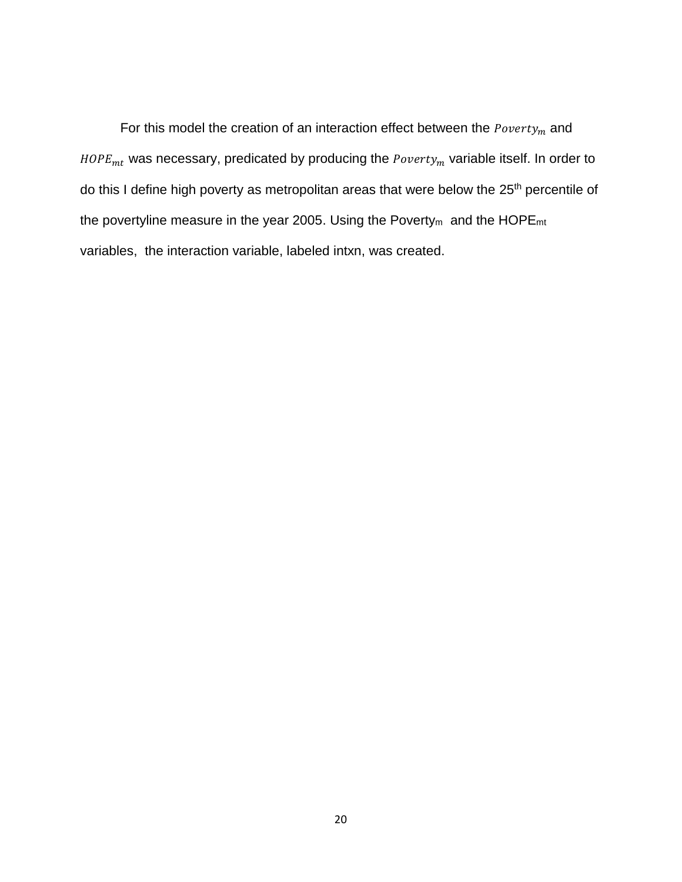For this model the creation of an interaction effect between the  $\it{Powerly}_m$  and  $H OPE_{mt}$  was necessary, predicated by producing the  $Poverty_m$  variable itself. In order to do this I define high poverty as metropolitan areas that were below the 25<sup>th</sup> percentile of the povertyline measure in the year 2005. Using the Poverty<sub>m</sub> and the HOPE<sub>mt</sub> variables, the interaction variable, labeled intxn, was created.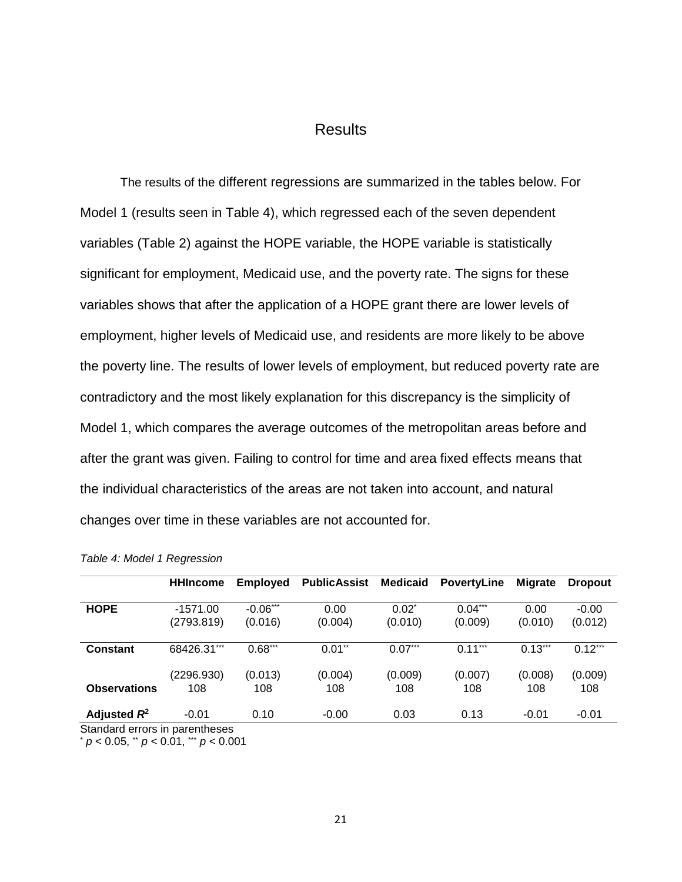## Results

The results of the different regressions are summarized in the tables below. For Model 1 (results seen in Table 4), which regressed each of the seven dependent variables (Table 2) against the HOPE variable, the HOPE variable is statistically significant for employment, Medicaid use, and the poverty rate. The signs for these variables shows that after the application of a HOPE grant there are lower levels of employment, higher levels of Medicaid use, and residents are more likely to be above the poverty line. The results of lower levels of employment, but reduced poverty rate are contradictory and the most likely explanation for this discrepancy is the simplicity of Model 1, which compares the average outcomes of the metropolitan areas before and after the grant was given. Failing to control for time and area fixed effects means that the individual characteristics of the areas are not taken into account, and natural changes over time in these variables are not accounted for.

|                                                  | <b>HHIncome</b>          | <b>Employed</b>       | <b>PublicAssist</b>  | Medicaid            | <b>PovertyLine</b>   | <b>Migrate</b>  | <b>Dropout</b>     |
|--------------------------------------------------|--------------------------|-----------------------|----------------------|---------------------|----------------------|-----------------|--------------------|
| <b>HOPE</b>                                      | $-1571.00$<br>(2793.819) | $-0.06***$<br>(0.016) | 0.00<br>(0.004)      | $0.02^*$<br>(0.010) | $0.04***$<br>(0.009) | 0.00<br>(0.010) | $-0.00$<br>(0.012) |
| <b>Constant</b>                                  | 68426.31***              | $0.68***$             | $0.01$ <sup>**</sup> | $0.07***$           | $0.11***$            | $0.13***$       | $0.12***$          |
| <b>Observations</b>                              | (2296.930)<br>108        | (0.013)<br>108        | (0.004)<br>108       | (0.009)<br>108      | (0.007)<br>108       | (0.008)<br>108  | (0.009)<br>108     |
| Adjusted $R^2$<br>Standard errors in parentheses | $-0.01$                  | 0.10                  | $-0.00$              | 0.03                | 0.13                 | $-0.01$         | $-0.01$            |

<span id="page-26-0"></span>

| Table 4: Model 1 Regression |  |  |  |  |
|-----------------------------|--|--|--|--|
|-----------------------------|--|--|--|--|

\* *p* < 0.05, \*\* *p* < 0.01, \*\*\* *p* < 0.001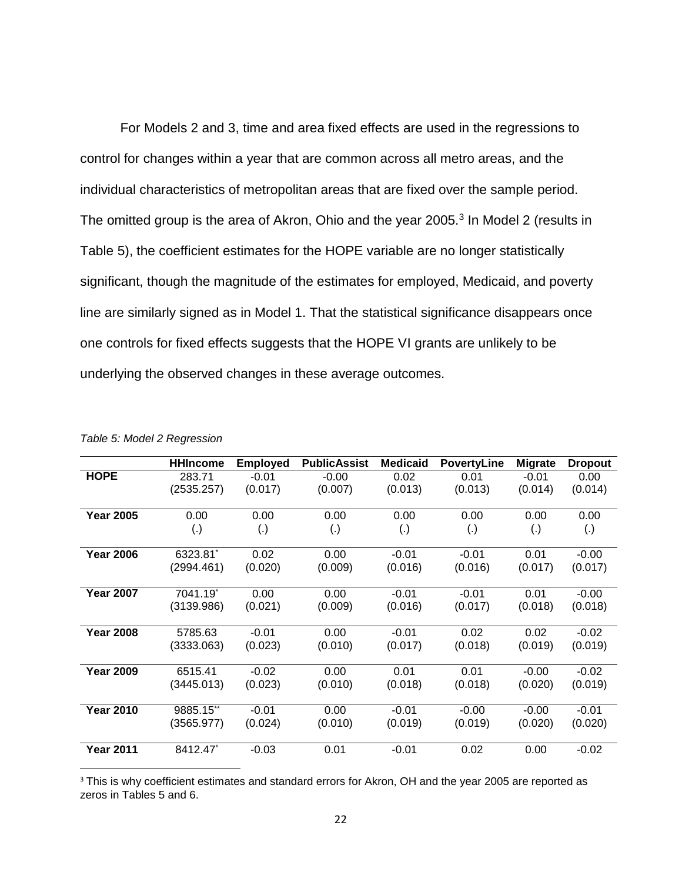For Models 2 and 3, time and area fixed effects are used in the regressions to control for changes within a year that are common across all metro areas, and the individual characteristics of metropolitan areas that are fixed over the sample period. The omitted group is the area of Akron, Ohio and the year 2005.<sup>3</sup> In Model 2 (results in Table 5), the coefficient estimates for the HOPE variable are no longer statistically significant, though the magnitude of the estimates for employed, Medicaid, and poverty line are similarly signed as in Model 1. That the statistical significance disappears once one controls for fixed effects suggests that the HOPE VI grants are unlikely to be underlying the observed changes in these average outcomes.

|                  | <b>HHIncome</b>    | <b>Employed</b> | <b>PublicAssist</b> | <b>Medicaid</b> | <b>PovertyLine</b> | <b>Migrate</b>     | <b>Dropout</b> |
|------------------|--------------------|-----------------|---------------------|-----------------|--------------------|--------------------|----------------|
| <b>HOPE</b>      | 283.71             | $-0.01$         | $-0.00$             | 0.02            | 0.01               | $-0.01$            | 0.00           |
|                  | (2535.257)         | (0.017)         | (0.007)             | (0.013)         | (0.013)            | (0.014)            | (0.014)        |
|                  |                    |                 |                     |                 |                    |                    |                |
| <b>Year 2005</b> | 0.00               | 0.00            | 0.00                | 0.00            | 0.00               | 0.00               | 0.00           |
|                  | $\left( . \right)$ | (.)             | (.)                 | (.)             | (.)                | $\left( . \right)$ | (.)            |
|                  |                    |                 |                     |                 |                    |                    |                |
| <b>Year 2006</b> | 6323.81            | 0.02            | 0.00                | $-0.01$         | $-0.01$            | 0.01               | $-0.00$        |
|                  | (2994.461)         | (0.020)         | (0.009)             | (0.016)         | (0.016)            | (0.017)            | (0.017)        |
|                  |                    |                 |                     |                 |                    |                    |                |
| <b>Year 2007</b> | 7041.19            | 0.00            | 0.00                | $-0.01$         | $-0.01$            | 0.01               | $-0.00$        |
|                  | (3139.986)         | (0.021)         | (0.009)             | (0.016)         | (0.017)            | (0.018)            | (0.018)        |
|                  |                    |                 |                     |                 |                    |                    |                |
| <b>Year 2008</b> | 5785.63            | $-0.01$         | 0.00                | $-0.01$         | 0.02               | 0.02               | $-0.02$        |
|                  | (3333.063)         | (0.023)         | (0.010)             | (0.017)         | (0.018)            | (0.019)            | (0.019)        |
|                  |                    |                 |                     |                 |                    |                    |                |
| <b>Year 2009</b> | 6515.41            | $-0.02$         | 0.00                | 0.01            | 0.01               | $-0.00$            | $-0.02$        |
|                  | (3445.013)         | (0.023)         | (0.010)             | (0.018)         | (0.018)            | (0.020)            | (0.019)        |
|                  |                    |                 |                     |                 |                    |                    |                |
| <b>Year 2010</b> | 9885.15**          | $-0.01$         | 0.00                | $-0.01$         | $-0.00$            | $-0.00$            | $-0.01$        |
|                  | (3565.977)         | (0.024)         | (0.010)             | (0.019)         | (0.019)            | (0.020)            | (0.020)        |
|                  |                    |                 |                     |                 |                    |                    |                |
| <b>Year 2011</b> | 8412.47            | $-0.03$         | 0.01                | $-0.01$         | 0.02               | 0.00               | $-0.02$        |
|                  |                    |                 |                     |                 |                    |                    |                |

<span id="page-27-0"></span>

|  |  | Table 5: Model 2 Regression |
|--|--|-----------------------------|
|--|--|-----------------------------|

l

<sup>3</sup> This is why coefficient estimates and standard errors for Akron, OH and the year 2005 are reported as zeros in Tables 5 and 6.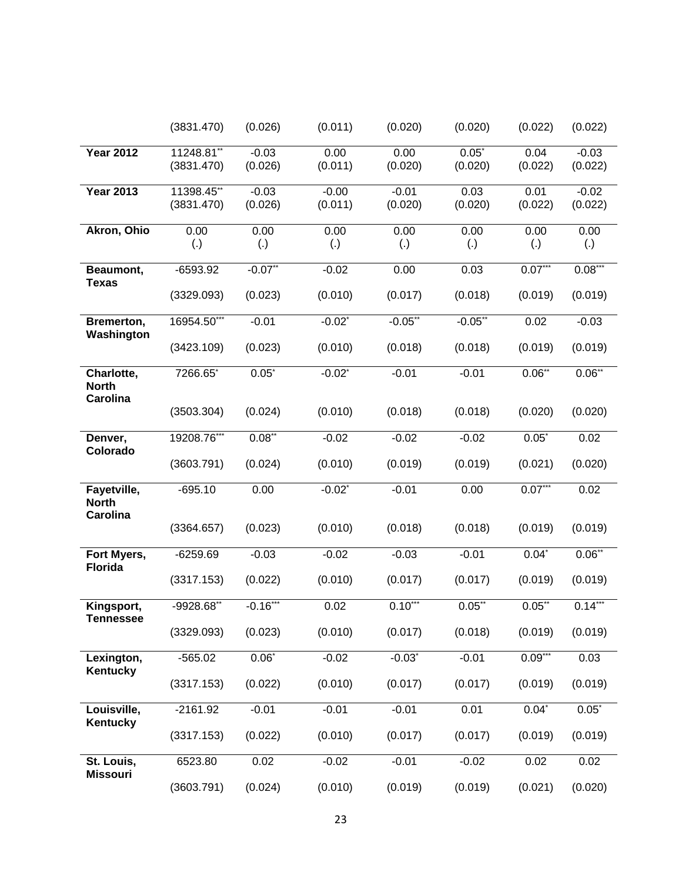|                                               | (3831.470)                             | (0.026)                   | (0.011)             | (0.020)                    | (0.020)                   | (0.022)              | (0.022)              |
|-----------------------------------------------|----------------------------------------|---------------------------|---------------------|----------------------------|---------------------------|----------------------|----------------------|
| <b>Year 2012</b>                              | $11\overline{248.81}$ **<br>(3831.470) | $-0.03$<br>(0.026)        | 0.00<br>(0.011)     | 0.00<br>(0.020)            | $0.05*$<br>(0.020)        | 0.04<br>(0.022)      | $-0.03$<br>(0.022)   |
| <b>Year 2013</b>                              | $11398.45$ **<br>(3831.470)            | $-0.03$<br>(0.026)        | $-0.00$<br>(0.011)  | $-0.01$<br>(0.020)         | 0.03<br>(0.020)           | 0.01<br>(0.022)      | $-0.02$<br>(0.022)   |
| Akron, Ohio                                   | 0.00<br>(.)                            | 0.00<br>$\left( .\right)$ | 0.00<br>(.)         | 0.00<br>$\left( . \right)$ | 0.00<br>$\left( .\right)$ | 0.00<br>(.)          | 0.00<br>(.)          |
| Beaumont,<br><b>Texas</b>                     | $-6593.92$<br>(3329.093)               | $-0.07**$<br>(0.023)      | $-0.02$<br>(0.010)  | 0.00<br>(0.017)            | 0.03<br>(0.018)           | $0.07***$<br>(0.019) | $0.08***$<br>(0.019) |
| Bremerton,<br>Washington                      | 16954.50***<br>(3423.109)              | $-0.01$<br>(0.023)        | $-0.02"$<br>(0.010) | $-0.05**$<br>(0.018)       | $-0.05**$<br>(0.018)      | 0.02<br>(0.019)      | $-0.03$<br>(0.019)   |
| Charlotte,<br><b>North</b><br><b>Carolina</b> | 7266.65*                               | $0.05^*$                  | $-0.02"$            | $-0.01$                    | $-0.01$                   | $0.06**$             | $0.06**$             |
|                                               | (3503.304)                             | (0.024)                   | (0.010)             | (0.018)                    | (0.018)                   | (0.020)              | (0.020)              |
| Denver,<br>Colorado                           | 19208.76***<br>(3603.791)              | $0.08**$<br>(0.024)       | $-0.02$<br>(0.010)  | $-0.02$<br>(0.019)         | $-0.02$<br>(0.019)        | $0.05^*$<br>(0.021)  | 0.02<br>(0.020)      |
| Fayetville,                                   | $-695.10$                              | 0.00                      | $-0.02"$            | $-0.01$                    | 0.00                      | $0.07***$            | 0.02                 |
| <b>North</b><br><b>Carolina</b>               | (3364.657)                             | (0.023)                   | (0.010)             | (0.018)                    | (0.018)                   | (0.019)              | (0.019)              |
| Fort Myers,                                   | $-6259.69$                             | $-0.03$                   | $-0.02$             | $-0.03$                    | $-0.01$                   | $0.04*$              | $0.06**$             |
| <b>Florida</b>                                | (3317.153)                             | (0.022)                   | (0.010)             | (0.017)                    | (0.017)                   | (0.019)              | (0.019)              |
| Kingsport,<br><b>Tennessee</b>                | -9928.68**                             | $-0.16***$                | 0.02                | $0.10***$                  | $0.05^{**}$               | $0.05**$             | $0.14***$            |
|                                               | (3329.093)                             | (0.023)                   | (0.010)             | (0.017)                    | (0.018)                   | (0.019)              | (0.019)              |
| Lexington,<br>Kentucky                        | $-565.02$                              | $0.06*$                   | $-0.02$             | $-0.03$ *                  | $-0.01$                   | $0.09***$            | 0.03                 |
|                                               | (3317.153)                             | (0.022)                   | (0.010)             | (0.017)                    | (0.017)                   | (0.019)              | (0.019)              |
| Louisville,<br>Kentucky                       | $-2161.92$                             | $-0.01$                   | $-0.01$             | $-0.01$                    | 0.01                      | $0.04*$              | $0.05^*$             |
|                                               | (3317.153)                             | (0.022)                   | (0.010)             | (0.017)                    | (0.017)                   | (0.019)              | (0.019)              |
| St. Louis,<br><b>Missouri</b>                 | 6523.80                                | 0.02                      | $-0.02$             | $-0.01$                    | $-0.02$                   | 0.02                 | 0.02                 |
|                                               | (3603.791)                             | (0.024)                   | (0.010)             | (0.019)                    | (0.019)                   | (0.021)              | (0.020)              |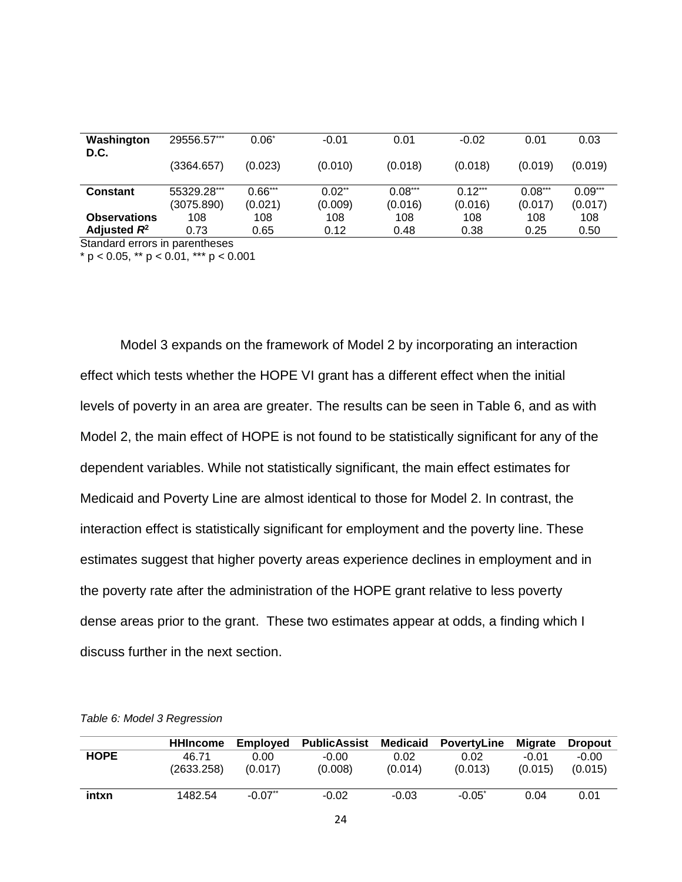| Washington<br>D.C.  | 29556.57***               | $0.06^*$             | $-0.01$                         | 0.01                 | $-0.02$              | 0.01                 | 0.03                 |
|---------------------|---------------------------|----------------------|---------------------------------|----------------------|----------------------|----------------------|----------------------|
|                     | (3364.657)                | (0.023)              | (0.010)                         | (0.018)              | (0.018)              | (0.019)              | (0.019)              |
| <b>Constant</b>     | 55329.28***<br>(3075.890) | $0.66***$<br>(0.021) | $0.02$ <sup>**</sup><br>(0.009) | $0.08***$<br>(0.016) | $0.12***$<br>(0.016) | $0.08***$<br>(0.017) | $0.09***$<br>(0.017) |
| <b>Observations</b> | 108                       | 108                  | 108                             | 108                  | 108                  | 108                  | 108                  |
| Adjusted $R^2$      | 0.73                      | 0.65                 | 0.12                            | 0.48                 | 0.38                 | 0.25                 | 0.50                 |

Standard errors in parentheses

 $* p < 0.05$ ,  $* p < 0.01$ ,  $* * p < 0.001$ 

Model 3 expands on the framework of Model 2 by incorporating an interaction effect which tests whether the HOPE VI grant has a different effect when the initial levels of poverty in an area are greater. The results can be seen in Table 6, and as with Model 2, the main effect of HOPE is not found to be statistically significant for any of the dependent variables. While not statistically significant, the main effect estimates for Medicaid and Poverty Line are almost identical to those for Model 2. In contrast, the interaction effect is statistically significant for employment and the poverty line. These estimates suggest that higher poverty areas experience declines in employment and in the poverty rate after the administration of the HOPE grant relative to less poverty dense areas prior to the grant. These two estimates appear at odds, a finding which I discuss further in the next section.

|             | HHIncome            | <b>Emploved</b>       | <b>PublicAssist Medicaid</b> |                 | <b>PovertyLine</b> | <b>Migrate</b>     | <b>Dropout</b>     |
|-------------|---------------------|-----------------------|------------------------------|-----------------|--------------------|--------------------|--------------------|
| <b>HOPE</b> | 46.71<br>(2633.258) | 0.00<br>(0.017)       | $-0.00$<br>(0.008)           | 0.02<br>(0.014) | 0.02<br>(0.013)    | $-0.01$<br>(0.015) | $-0.00$<br>(0.015) |
| intxn       | 1482.54             | $-0.07$ <sup>**</sup> | $-0.02$                      | $-0.03$         | $-0.05^*$          | 0.04               | 0.01               |

<span id="page-29-0"></span>*Table 6: Model 3 Regression*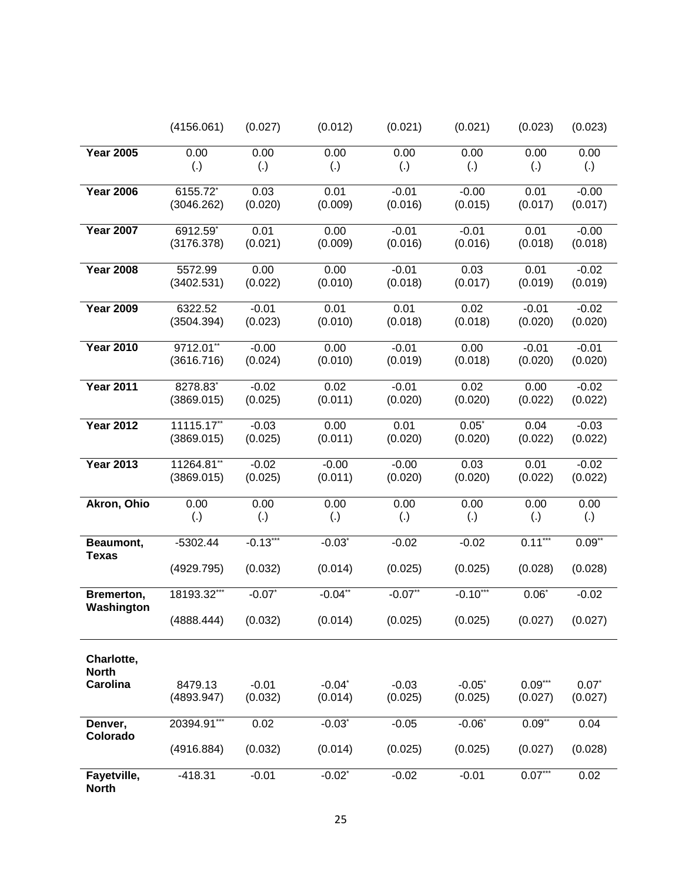|                            | (4156.061)             | (0.027)           | (0.012)              | (0.021)            | (0.021)            | (0.023)         | (0.023)            |
|----------------------------|------------------------|-------------------|----------------------|--------------------|--------------------|-----------------|--------------------|
| <b>Year 2005</b>           | 0.00                   | 0.00              | 0.00                 | 0.00               | 0.00               | 0.00            | 0.00               |
|                            | $\left( .\right)$      | $\left( .\right)$ | $\left( .\right)$    | (.)                | $\left( .\right)$  | (.)             | (.)                |
|                            |                        |                   |                      |                    |                    |                 |                    |
| <b>Year 2006</b>           | 6155.72*<br>(3046.262) | 0.03<br>(0.020)   | 0.01<br>(0.009)      | $-0.01$<br>(0.016) | $-0.00$<br>(0.015) | 0.01<br>(0.017) | $-0.00$<br>(0.017) |
|                            |                        |                   |                      |                    |                    |                 |                    |
| <b>Year 2007</b>           | 6912.59*               | 0.01              | 0.00                 | $-0.01$            | $-0.01$            | 0.01            | $-0.00$            |
|                            | (3176.378)             | (0.021)           | (0.009)              | (0.016)            | (0.016)            | (0.018)         | (0.018)            |
|                            |                        |                   |                      |                    |                    |                 |                    |
| <b>Year 2008</b>           | 5572.99<br>(3402.531)  | 0.00<br>(0.022)   | 0.00<br>(0.010)      | $-0.01$<br>(0.018) | 0.03<br>(0.017)    | 0.01<br>(0.019) | $-0.02$<br>(0.019) |
|                            |                        |                   |                      |                    |                    |                 |                    |
| <b>Year 2009</b>           | 6322.52                | $-0.01$           | 0.01                 | 0.01               | 0.02               | $-0.01$         | $-0.02$            |
|                            | (3504.394)             | (0.023)           | (0.010)              | (0.018)            | (0.018)            | (0.020)         | (0.020)            |
| <b>Year 2010</b>           | 9712.01**              | $-0.00$           | 0.00                 | $-0.01$            | 0.00               | $-0.01$         | $-0.01$            |
|                            | (3616.716)             | (0.024)           | (0.010)              | (0.019)            | (0.018)            | (0.020)         | (0.020)            |
|                            |                        |                   |                      |                    |                    |                 |                    |
| <b>Year 2011</b>           | 8278.83*               | $-0.02$           | 0.02                 | $-0.01$            | 0.02               | 0.00            | $-0.02$            |
|                            | (3869.015)             | (0.025)           | (0.011)              | (0.020)            | (0.020)            | (0.022)         | (0.022)            |
| <b>Year 2012</b>           | 11115.17**             | $-0.03$           | 0.00                 | 0.01               | $0.05*$            | 0.04            | $-0.03$            |
|                            | (3869.015)             | (0.025)           | (0.011)              | (0.020)            | (0.020)            | (0.022)         | (0.022)            |
|                            |                        |                   |                      |                    |                    |                 |                    |
| <b>Year 2013</b>           | 11264.81**             | $-0.02$           | $-0.00$              | $-0.00$            | 0.03               | 0.01            | $-0.02$            |
|                            | (3869.015)             | (0.025)           | (0.011)              | (0.020)            | (0.020)            | (0.022)         | (0.022)            |
| Akron, Ohio                | 0.00                   | 0.00              | 0.00                 | 0.00               | 0.00               | 0.00            | 0.00               |
|                            | $\left( .\right)$      | $\left( .\right)$ | $\left( .\right)$    | (.)                | $\left( .\right)$  | (.)             | (.)                |
| Beaumont,                  | $-5302.44$             | $-0.13***$        | $-0.03$ *            | $-0.02$            | $-0.02$            | $0.11***$       | $0.09**$           |
| <b>Texas</b>               |                        |                   |                      |                    |                    |                 |                    |
|                            | (4929.795)             | (0.032)           | (0.014)              | (0.025)            | (0.025)            | (0.028)         | (0.028)            |
|                            |                        |                   |                      |                    |                    |                 |                    |
| Bremerton,                 | 18193.32***            | $-0.07$ *         | $-0.04$ **           | $-0.07**$          | $-0.10***$         | $0.06*$         | $-0.02$            |
| Washington                 | (4888.444)             | (0.032)           | (0.014)              | (0.025)            | (0.025)            | (0.027)         | (0.027)            |
|                            |                        |                   |                      |                    |                    |                 |                    |
|                            |                        |                   |                      |                    |                    |                 |                    |
| Charlotte,<br><b>North</b> |                        |                   |                      |                    |                    |                 |                    |
| <b>Carolina</b>            | 8479.13                | $-0.01$           | $-0.04"$             | $-0.03$            | $-0.05"$           | $0.09***$       | $0.07*$            |
|                            | (4893.947)             | (0.032)           | (0.014)              | (0.025)            | (0.025)            | (0.027)         | (0.027)            |
|                            |                        |                   |                      |                    |                    |                 |                    |
| Denver,                    | 20394.91***            | 0.02              | $-0.03"$             | $-0.05$            | $-0.06$            | $0.09**$        | 0.04               |
| Colorado                   | (4916.884)             | (0.032)           | (0.014)              | (0.025)            | (0.025)            | (0.027)         | (0.028)            |
|                            |                        |                   |                      |                    |                    |                 |                    |
| Fayetville,                | $-418.31$              | $-0.01$           | $-0.02$ <sup>*</sup> | $-0.02$            | $-0.01$            | $0.07***$       | 0.02               |
| <b>North</b>               |                        |                   |                      |                    |                    |                 |                    |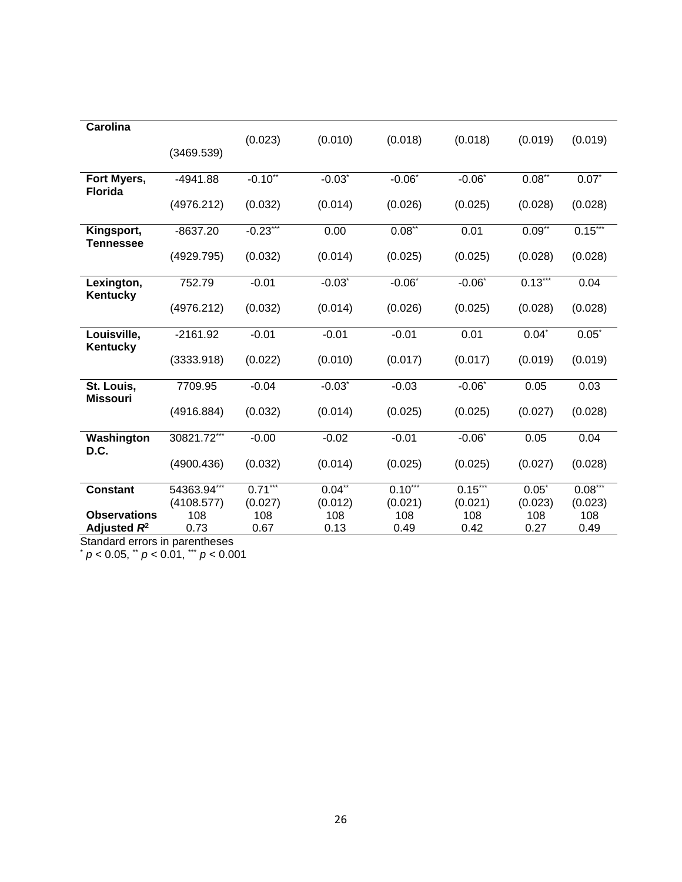| <b>Carolina</b>     |             |              |             |             |             |             |           |
|---------------------|-------------|--------------|-------------|-------------|-------------|-------------|-----------|
|                     |             | (0.023)      | (0.010)     | (0.018)     | (0.018)     | (0.019)     | (0.019)   |
|                     | (3469.539)  |              |             |             |             |             |           |
| Fort Myers,         | $-4941.88$  | $-0.10^{**}$ | $-0.03$ *   | $-0.06"$    | $-0.06"$    | $0.08^{**}$ | $0.07^*$  |
| <b>Florida</b>      |             |              |             |             |             |             |           |
|                     | (4976.212)  | (0.032)      | (0.014)     | (0.026)     | (0.025)     | (0.028)     | (0.028)   |
| Kingsport,          | $-8637.20$  | $-0.23***$   | 0.00        | $0.08^{**}$ | 0.01        | $0.09^{17}$ | $0.15***$ |
| Tennessee           |             |              |             |             |             |             |           |
|                     | (4929.795)  | (0.032)      | (0.014)     | (0.025)     | (0.025)     | (0.028)     | (0.028)   |
| Lexington,          | 752.79      | $-0.01$      | $-0.03"$    | $-0.06"$    | $-0.06"$    | $0.13***$   | 0.04      |
| Kentucky            |             |              |             |             |             |             |           |
|                     | (4976.212)  | (0.032)      | (0.014)     | (0.026)     | (0.025)     | (0.028)     | (0.028)   |
| Louisville,         | $-2161.92$  | $-0.01$      | $-0.01$     | $-0.01$     | 0.01        | $0.04*$     | $0.05^*$  |
| Kentucky            |             |              |             |             |             |             |           |
|                     | (3333.918)  | (0.022)      | (0.010)     | (0.017)     | (0.017)     | (0.019)     | (0.019)   |
| St. Louis,          | 7709.95     | $-0.04$      | $-0.03$ *   | $-0.03$     | $-0.06^{*}$ | 0.05        | 0.03      |
| <b>Missouri</b>     |             |              |             |             |             |             |           |
|                     | (4916.884)  | (0.032)      | (0.014)     | (0.025)     | (0.025)     | (0.027)     | (0.028)   |
| Washington          | 30821.72*** | $-0.00$      | $-0.02$     | $-0.01$     | $-0.06"$    | 0.05        | 0.04      |
| D.C.                |             |              |             |             |             |             |           |
|                     | (4900.436)  | (0.032)      | (0.014)     | (0.025)     | (0.025)     | (0.027)     | (0.028)   |
| <b>Constant</b>     | 54363.94*** | $0.71***$    | $0.04^{**}$ | $0.10***$   | $0.15***$   | $0.05*$     | $0.08***$ |
|                     | (4108.577)  | (0.027)      | (0.012)     | (0.021)     | (0.021)     | (0.023)     | (0.023)   |
| <b>Observations</b> | 108         | 108          | 108         | 108         | 108         | 108         | 108       |
| Adjusted $R^2$      | 0.73        | 0.67         | 0.13        | 0.49        | 0.42        | 0.27        | 0.49      |

Standard errors in parentheses

\* *p* < 0.05, \*\* *p* < 0.01, \*\*\* *p* < 0.001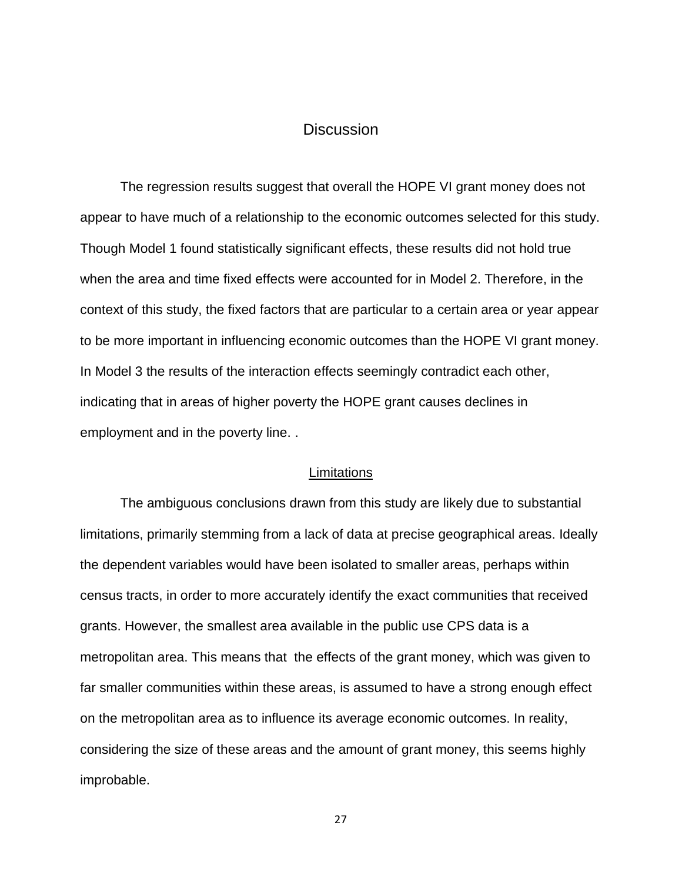## **Discussion**

The regression results suggest that overall the HOPE VI grant money does not appear to have much of a relationship to the economic outcomes selected for this study. Though Model 1 found statistically significant effects, these results did not hold true when the area and time fixed effects were accounted for in Model 2. Therefore, in the context of this study, the fixed factors that are particular to a certain area or year appear to be more important in influencing economic outcomes than the HOPE VI grant money. In Model 3 the results of the interaction effects seemingly contradict each other, indicating that in areas of higher poverty the HOPE grant causes declines in employment and in the poverty line. .

#### **Limitations**

The ambiguous conclusions drawn from this study are likely due to substantial limitations, primarily stemming from a lack of data at precise geographical areas. Ideally the dependent variables would have been isolated to smaller areas, perhaps within census tracts, in order to more accurately identify the exact communities that received grants. However, the smallest area available in the public use CPS data is a metropolitan area. This means that the effects of the grant money, which was given to far smaller communities within these areas, is assumed to have a strong enough effect on the metropolitan area as to influence its average economic outcomes. In reality, considering the size of these areas and the amount of grant money, this seems highly improbable.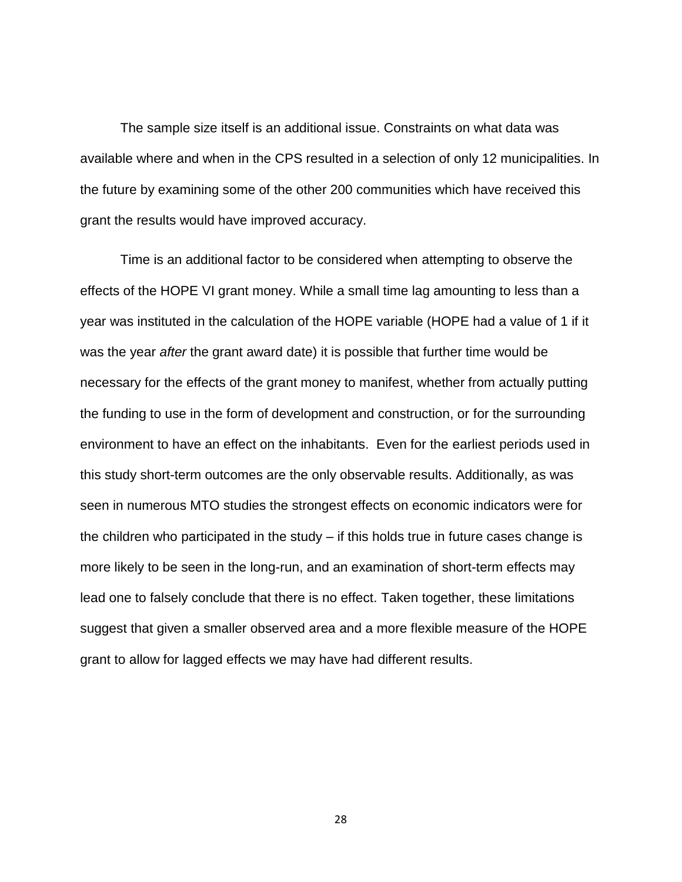The sample size itself is an additional issue. Constraints on what data was available where and when in the CPS resulted in a selection of only 12 municipalities. In the future by examining some of the other 200 communities which have received this grant the results would have improved accuracy.

Time is an additional factor to be considered when attempting to observe the effects of the HOPE VI grant money. While a small time lag amounting to less than a year was instituted in the calculation of the HOPE variable (HOPE had a value of 1 if it was the year *after* the grant award date) it is possible that further time would be necessary for the effects of the grant money to manifest, whether from actually putting the funding to use in the form of development and construction, or for the surrounding environment to have an effect on the inhabitants. Even for the earliest periods used in this study short-term outcomes are the only observable results. Additionally, as was seen in numerous MTO studies the strongest effects on economic indicators were for the children who participated in the study – if this holds true in future cases change is more likely to be seen in the long-run, and an examination of short-term effects may lead one to falsely conclude that there is no effect. Taken together, these limitations suggest that given a smaller observed area and a more flexible measure of the HOPE grant to allow for lagged effects we may have had different results.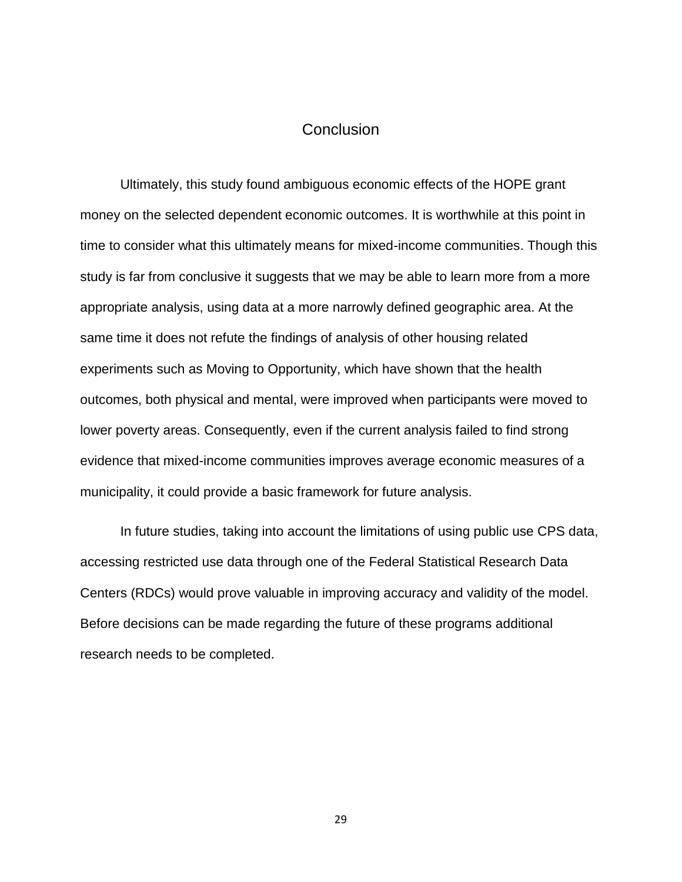## **Conclusion**

Ultimately, this study found ambiguous economic effects of the HOPE grant money on the selected dependent economic outcomes. It is worthwhile at this point in time to consider what this ultimately means for mixed-income communities. Though this study is far from conclusive it suggests that we may be able to learn more from a more appropriate analysis, using data at a more narrowly defined geographic area. At the same time it does not refute the findings of analysis of other housing related experiments such as Moving to Opportunity, which have shown that the health outcomes, both physical and mental, were improved when participants were moved to lower poverty areas. Consequently, even if the current analysis failed to find strong evidence that mixed-income communities improves average economic measures of a municipality, it could provide a basic framework for future analysis.

In future studies, taking into account the limitations of using public use CPS data, accessing restricted use data through one of the Federal Statistical Research Data Centers (RDCs) would prove valuable in improving accuracy and validity of the model. Before decisions can be made regarding the future of these programs additional research needs to be completed.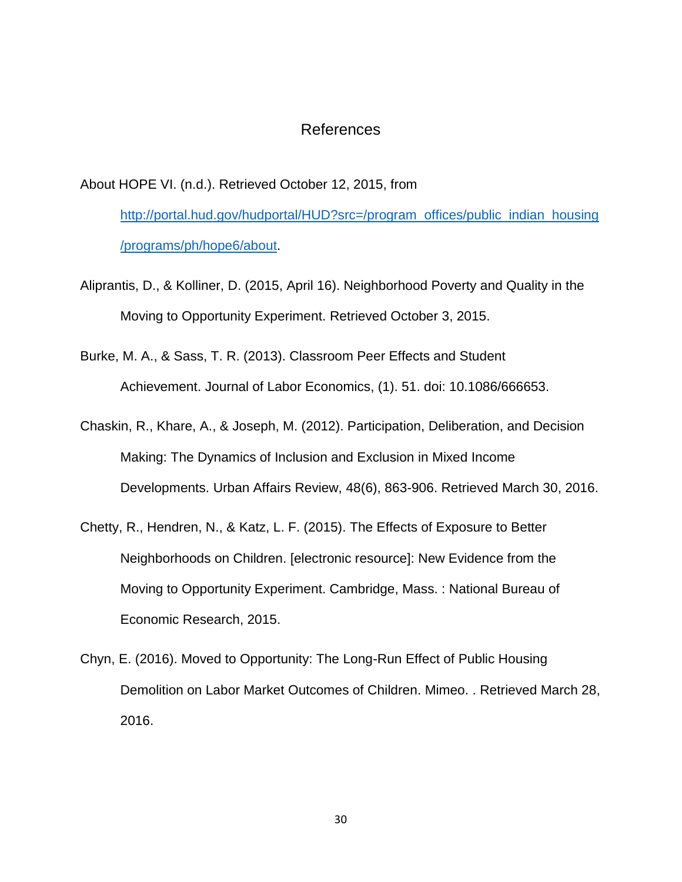## References

About HOPE VI. (n.d.). Retrieved October 12, 2015, from

[http://portal.hud.gov/hudportal/HUD?src=/program\\_offices/public\\_indian\\_housing](http://portal.hud.gov/hudportal/HUD?src=/program_offices/public_indian_housing/programs/ph/hope6/about) [/programs/ph/hope6/about.](http://portal.hud.gov/hudportal/HUD?src=/program_offices/public_indian_housing/programs/ph/hope6/about)

- Aliprantis, D., & Kolliner, D. (2015, April 16). Neighborhood Poverty and Quality in the Moving to Opportunity Experiment. Retrieved October 3, 2015.
- Burke, M. A., & Sass, T. R. (2013). Classroom Peer Effects and Student Achievement. Journal of Labor Economics, (1). 51. doi: 10.1086/666653.
- Chaskin, R., Khare, A., & Joseph, M. (2012). Participation, Deliberation, and Decision Making: The Dynamics of Inclusion and Exclusion in Mixed Income Developments. Urban Affairs Review, 48(6), 863-906. Retrieved March 30, 2016.
- Chetty, R., Hendren, N., & Katz, L. F. (2015). The Effects of Exposure to Better Neighborhoods on Children. [electronic resource]: New Evidence from the Moving to Opportunity Experiment. Cambridge, Mass. : National Bureau of Economic Research, 2015.
- Chyn, E. (2016). Moved to Opportunity: The Long-Run Effect of Public Housing Demolition on Labor Market Outcomes of Children. Mimeo. . Retrieved March 28, 2016.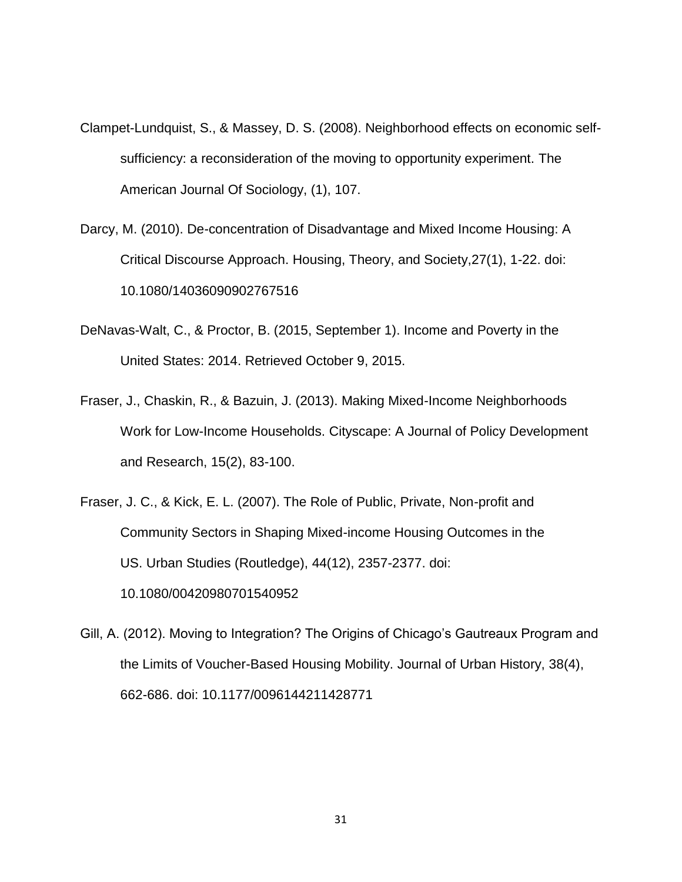- Clampet-Lundquist, S., & Massey, D. S. (2008). Neighborhood effects on economic selfsufficiency: a reconsideration of the moving to opportunity experiment. The American Journal Of Sociology, (1), 107.
- Darcy, M. (2010). De-concentration of Disadvantage and Mixed Income Housing: A Critical Discourse Approach. Housing, Theory, and Society,27(1), 1-22. doi: 10.1080/14036090902767516
- DeNavas-Walt, C., & Proctor, B. (2015, September 1). Income and Poverty in the United States: 2014. Retrieved October 9, 2015.
- Fraser, J., Chaskin, R., & Bazuin, J. (2013). Making Mixed-Income Neighborhoods Work for Low-Income Households. Cityscape: A Journal of Policy Development and Research, 15(2), 83-100.
- Fraser, J. C., & Kick, E. L. (2007). The Role of Public, Private, Non-profit and Community Sectors in Shaping Mixed-income Housing Outcomes in the US. Urban Studies (Routledge), 44(12), 2357-2377. doi: 10.1080/00420980701540952
- Gill, A. (2012). Moving to Integration? The Origins of Chicago's Gautreaux Program and the Limits of Voucher-Based Housing Mobility. Journal of Urban History, 38(4), 662-686. doi: 10.1177/0096144211428771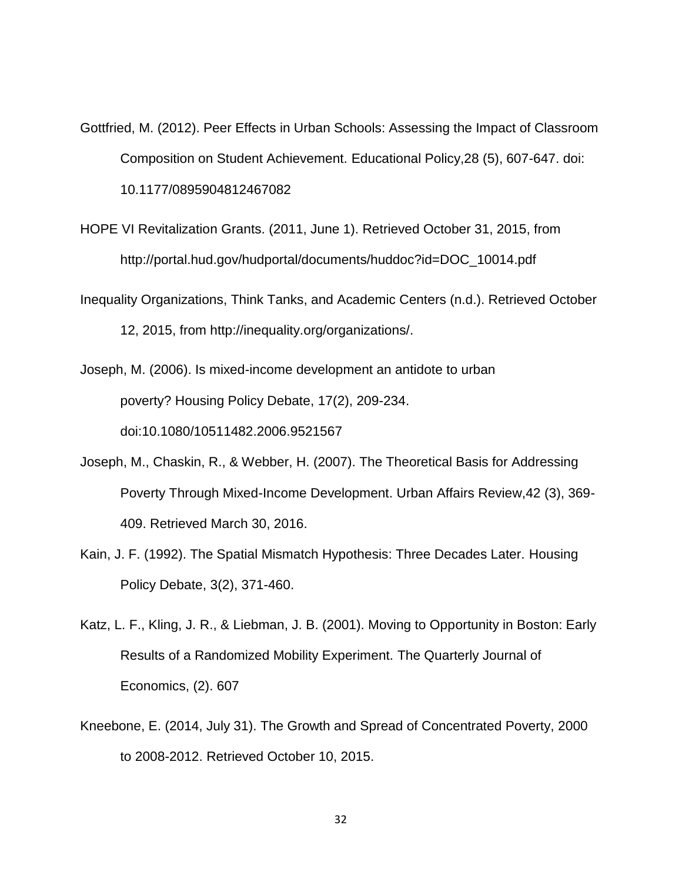- Gottfried, M. (2012). Peer Effects in Urban Schools: Assessing the Impact of Classroom Composition on Student Achievement. Educational Policy,28 (5), 607-647. doi: 10.1177/0895904812467082
- HOPE VI Revitalization Grants. (2011, June 1). Retrieved October 31, 2015, from http://portal.hud.gov/hudportal/documents/huddoc?id=DOC\_10014.pdf
- Inequality Organizations, Think Tanks, and Academic Centers (n.d.). Retrieved October 12, 2015, from http://inequality.org/organizations/.
- Joseph, M. (2006). Is mixed-income development an antidote to urban poverty? Housing Policy Debate, 17(2), 209-234. doi:10.1080/10511482.2006.9521567
- Joseph, M., Chaskin, R., & Webber, H. (2007). The Theoretical Basis for Addressing Poverty Through Mixed-Income Development. Urban Affairs Review,42 (3), 369- 409. Retrieved March 30, 2016.
- Kain, J. F. (1992). The Spatial Mismatch Hypothesis: Three Decades Later. Housing Policy Debate, 3(2), 371-460.
- Katz, L. F., Kling, J. R., & Liebman, J. B. (2001). Moving to Opportunity in Boston: Early Results of a Randomized Mobility Experiment. The Quarterly Journal of Economics, (2). 607
- Kneebone, E. (2014, July 31). The Growth and Spread of Concentrated Poverty, 2000 to 2008-2012. Retrieved October 10, 2015.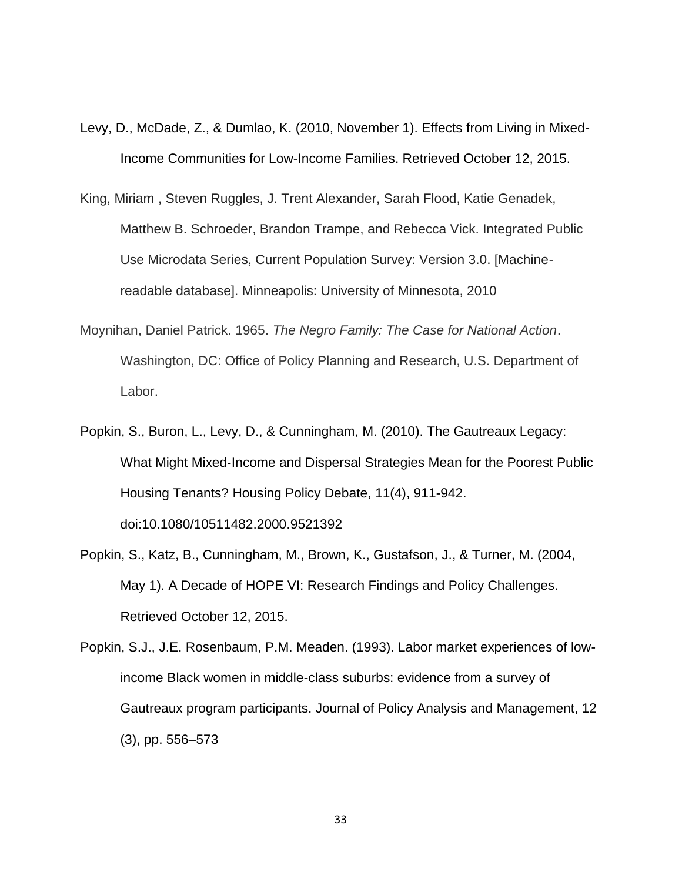- Levy, D., McDade, Z., & Dumlao, K. (2010, November 1). Effects from Living in Mixed-Income Communities for Low-Income Families. Retrieved October 12, 2015.
- King, Miriam , Steven Ruggles, J. Trent Alexander, Sarah Flood, Katie Genadek, Matthew B. Schroeder, Brandon Trampe, and Rebecca Vick. Integrated Public Use Microdata Series, Current Population Survey: Version 3.0. [Machinereadable database]. Minneapolis: University of Minnesota, 2010
- Moynihan, Daniel Patrick. 1965. *The Negro Family: The Case for National Action*. Washington, DC: Office of Policy Planning and Research, U.S. Department of Labor.
- Popkin, S., Buron, L., Levy, D., & Cunningham, M. (2010). The Gautreaux Legacy: What Might Mixed‐Income and Dispersal Strategies Mean for the Poorest Public Housing Tenants? Housing Policy Debate, 11(4), 911-942. doi:10.1080/10511482.2000.9521392
- Popkin, S., Katz, B., Cunningham, M., Brown, K., Gustafson, J., & Turner, M. (2004, May 1). A Decade of HOPE VI: Research Findings and Policy Challenges. Retrieved October 12, 2015.
- Popkin, S.J., J.E. Rosenbaum, P.M. Meaden. (1993). Labor market experiences of lowincome Black women in middle-class suburbs: evidence from a survey of Gautreaux program participants. Journal of Policy Analysis and Management, 12 (3), pp. 556–573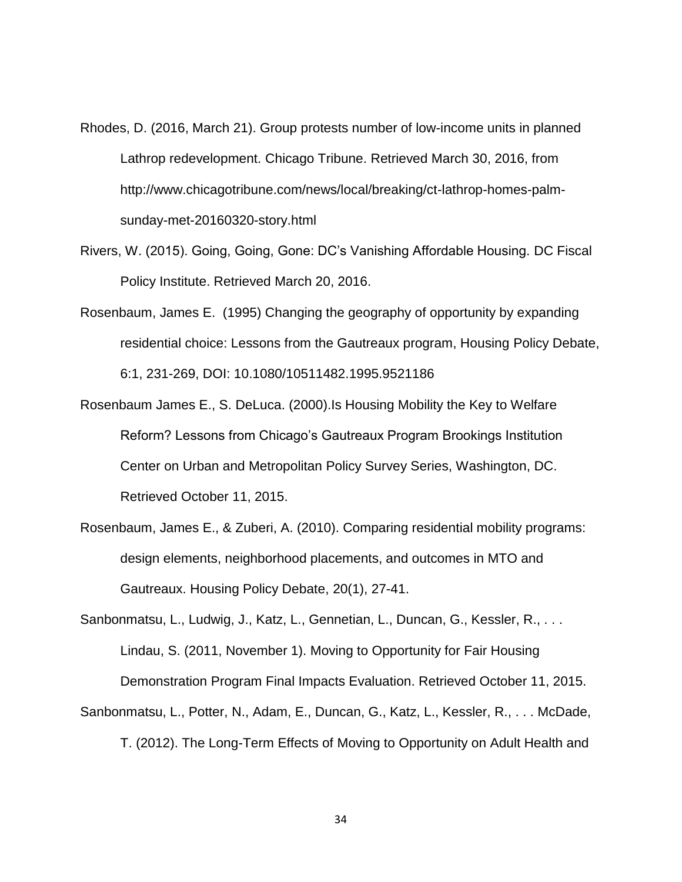- Rhodes, D. (2016, March 21). Group protests number of low-income units in planned Lathrop redevelopment. Chicago Tribune. Retrieved March 30, 2016, from http://www.chicagotribune.com/news/local/breaking/ct-lathrop-homes-palmsunday-met-20160320-story.html
- Rivers, W. (2015). Going, Going, Gone: DC's Vanishing Affordable Housing. DC Fiscal Policy Institute. Retrieved March 20, 2016.
- Rosenbaum, James E. (1995) Changing the geography of opportunity by expanding residential choice: Lessons from the Gautreaux program, Housing Policy Debate, 6:1, 231-269, DOI: 10.1080/10511482.1995.9521186
- Rosenbaum James E., S. DeLuca. (2000).Is Housing Mobility the Key to Welfare Reform? Lessons from Chicago's Gautreaux Program Brookings Institution Center on Urban and Metropolitan Policy Survey Series, Washington, DC. Retrieved October 11, 2015.
- Rosenbaum, James E., & Zuberi, A. (2010). Comparing residential mobility programs: design elements, neighborhood placements, and outcomes in MTO and Gautreaux. Housing Policy Debate, 20(1), 27-41.
- Sanbonmatsu, L., Ludwig, J., Katz, L., Gennetian, L., Duncan, G., Kessler, R., . . . Lindau, S. (2011, November 1). Moving to Opportunity for Fair Housing Demonstration Program Final Impacts Evaluation. Retrieved October 11, 2015.
- Sanbonmatsu, L., Potter, N., Adam, E., Duncan, G., Katz, L., Kessler, R., . . . McDade, T. (2012). The Long-Term Effects of Moving to Opportunity on Adult Health and